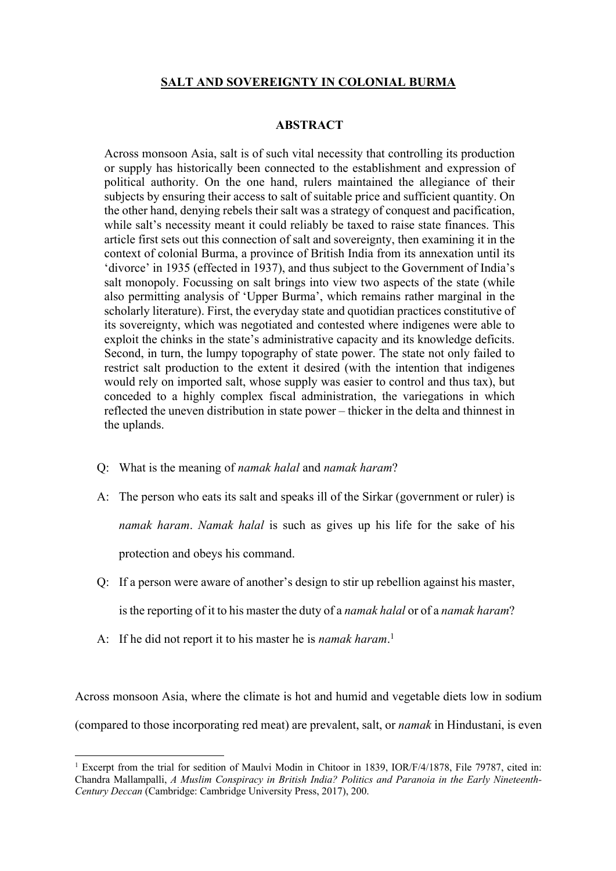## **SALT AND SOVEREIGNTY IN COLONIAL BURMA**

## **ABSTRACT**

Across monsoon Asia, salt is of such vital necessity that controlling its production or supply has historically been connected to the establishment and expression of political authority. On the one hand, rulers maintained the allegiance of their subjects by ensuring their access to salt of suitable price and sufficient quantity. On the other hand, denying rebels their salt was a strategy of conquest and pacification, while salt's necessity meant it could reliably be taxed to raise state finances. This article first sets out this connection of salt and sovereignty, then examining it in the context of colonial Burma, a province of British India from its annexation until its 'divorce' in 1935 (effected in 1937), and thus subject to the Government of India's salt monopoly. Focussing on salt brings into view two aspects of the state (while also permitting analysis of 'Upper Burma', which remains rather marginal in the scholarly literature). First, the everyday state and quotidian practices constitutive of its sovereignty, which was negotiated and contested where indigenes were able to exploit the chinks in the state's administrative capacity and its knowledge deficits. Second, in turn, the lumpy topography of state power. The state not only failed to restrict salt production to the extent it desired (with the intention that indigenes would rely on imported salt, whose supply was easier to control and thus tax), but conceded to a highly complex fiscal administration, the variegations in which reflected the uneven distribution in state power – thicker in the delta and thinnest in the uplands.

- Q: What is the meaning of *namak halal* and *namak haram*?
- A: The person who eats its salt and speaks ill of the Sirkar (government or ruler) is *namak haram*. *Namak halal* is such as gives up his life for the sake of his protection and obeys his command.
- Q: If a person were aware of another's design to stir up rebellion against his master, is the reporting of it to his master the duty of a *namak halal* or of a *namak haram*?
- A: If he did not report it to his master he is *namak haram*. 1

Across monsoon Asia, where the climate is hot and humid and vegetable diets low in sodium (compared to those incorporating red meat) are prevalent, salt, or *namak* in Hindustani, is even

<sup>&</sup>lt;sup>1</sup> Excerpt from the trial for sedition of Maulvi Modin in Chitoor in 1839, IOR/F/4/1878, File 79787, cited in: Chandra Mallampalli, *A Muslim Conspiracy in British India? Politics and Paranoia in the Early Nineteenth-Century Deccan* (Cambridge: Cambridge University Press, 2017), 200.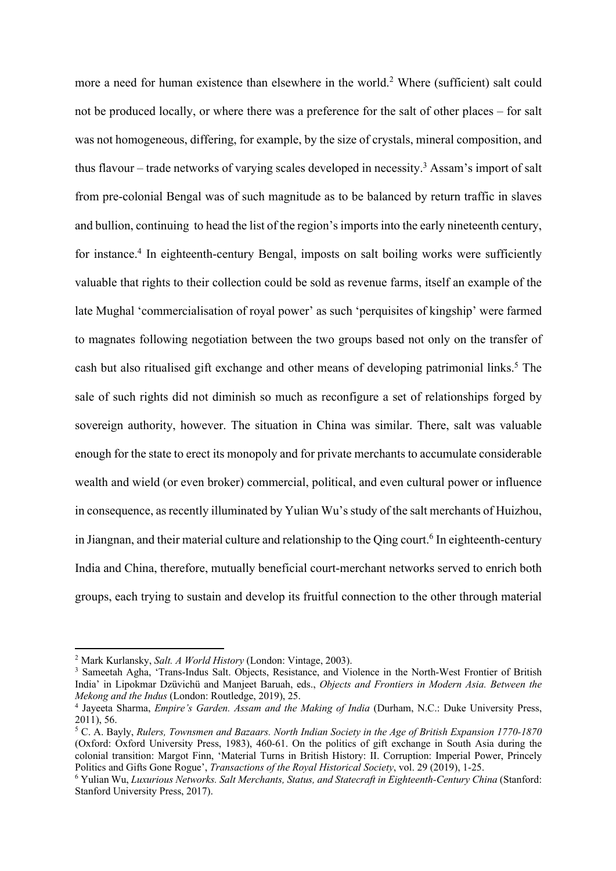more a need for human existence than elsewhere in the world.2 Where (sufficient) salt could not be produced locally, or where there was a preference for the salt of other places – for salt was not homogeneous, differing, for example, by the size of crystals, mineral composition, and thus flavour – trade networks of varying scales developed in necessity.3 Assam's import of salt from pre-colonial Bengal was of such magnitude as to be balanced by return traffic in slaves and bullion, continuing to head the list of the region's imports into the early nineteenth century, for instance.<sup>4</sup> In eighteenth-century Bengal, imposts on salt boiling works were sufficiently valuable that rights to their collection could be sold as revenue farms, itself an example of the late Mughal 'commercialisation of royal power' as such 'perquisites of kingship' were farmed to magnates following negotiation between the two groups based not only on the transfer of cash but also ritualised gift exchange and other means of developing patrimonial links.<sup>5</sup> The sale of such rights did not diminish so much as reconfigure a set of relationships forged by sovereign authority, however. The situation in China was similar. There, salt was valuable enough for the state to erect its monopoly and for private merchants to accumulate considerable wealth and wield (or even broker) commercial, political, and even cultural power or influence in consequence, as recently illuminated by Yulian Wu's study of the salt merchants of Huizhou, in Jiangnan, and their material culture and relationship to the Oing court.<sup>6</sup> In eighteenth-century India and China, therefore, mutually beneficial court-merchant networks served to enrich both groups, each trying to sustain and develop its fruitful connection to the other through material

<sup>2</sup> Mark Kurlansky, *Salt. A World History* (London: Vintage, 2003).

<sup>&</sup>lt;sup>3</sup> Sameetah Agha, 'Trans-Indus Salt. Objects, Resistance, and Violence in the North-West Frontier of British India' in Lipokmar Dzüvichü and Manjeet Baruah, eds., *Objects and Frontiers in Modern Asia. Between the Mekong and the Indus* (London: Routledge, 2019), 25.

<sup>4</sup> Jayeeta Sharma, *Empire's Garden. Assam and the Making of India* (Durham, N.C.: Duke University Press, 2011), 56.

<sup>5</sup> C. A. Bayly, *Rulers, Townsmen and Bazaars. North Indian Society in the Age of British Expansion 1770-1870* (Oxford: Oxford University Press, 1983), 460-61. On the politics of gift exchange in South Asia during the colonial transition: Margot Finn, 'Material Turns in British History: II. Corruption: Imperial Power, Princely Politics and Gifts Gone Rogue', *Transactions of the Royal Historical Society*, vol. 29 (2019), 1-25.

<sup>6</sup> Yulian Wu, *Luxurious Networks. Salt Merchants, Status, and Statecraft in Eighteenth-Century China* (Stanford: Stanford University Press, 2017).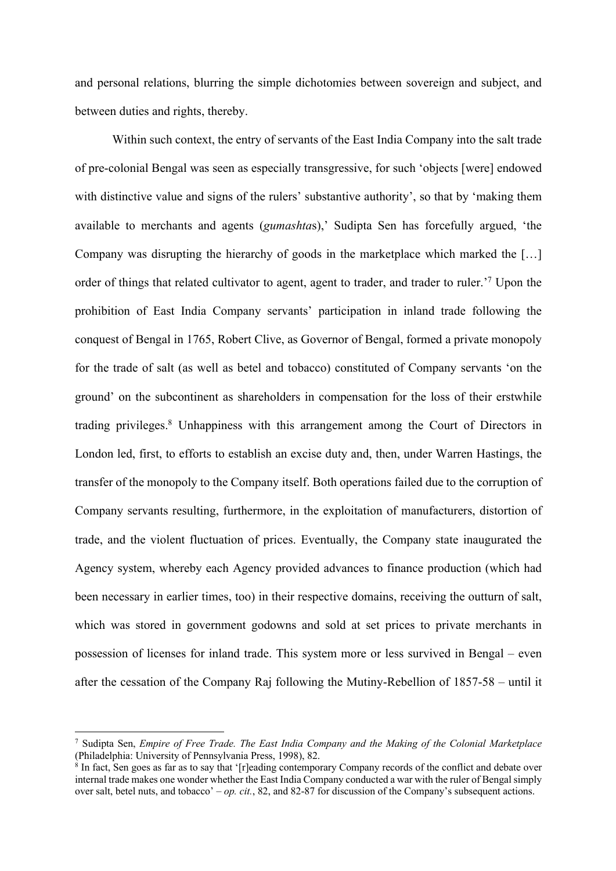and personal relations, blurring the simple dichotomies between sovereign and subject, and between duties and rights, thereby.

Within such context, the entry of servants of the East India Company into the salt trade of pre-colonial Bengal was seen as especially transgressive, for such 'objects [were] endowed with distinctive value and signs of the rulers' substantive authority', so that by 'making them available to merchants and agents (*gumashta*s),' Sudipta Sen has forcefully argued, 'the Company was disrupting the hierarchy of goods in the marketplace which marked the […] order of things that related cultivator to agent, agent to trader, and trader to ruler.'7 Upon the prohibition of East India Company servants' participation in inland trade following the conquest of Bengal in 1765, Robert Clive, as Governor of Bengal, formed a private monopoly for the trade of salt (as well as betel and tobacco) constituted of Company servants 'on the ground' on the subcontinent as shareholders in compensation for the loss of their erstwhile trading privileges.<sup>8</sup> Unhappiness with this arrangement among the Court of Directors in London led, first, to efforts to establish an excise duty and, then, under Warren Hastings, the transfer of the monopoly to the Company itself. Both operations failed due to the corruption of Company servants resulting, furthermore, in the exploitation of manufacturers, distortion of trade, and the violent fluctuation of prices. Eventually, the Company state inaugurated the Agency system, whereby each Agency provided advances to finance production (which had been necessary in earlier times, too) in their respective domains, receiving the outturn of salt, which was stored in government godowns and sold at set prices to private merchants in possession of licenses for inland trade. This system more or less survived in Bengal – even after the cessation of the Company Raj following the Mutiny-Rebellion of 1857-58 – until it

<sup>7</sup> Sudipta Sen, *Empire of Free Trade. The East India Company and the Making of the Colonial Marketplace* (Philadelphia: University of Pennsylvania Press, 1998), 82.

<sup>&</sup>lt;sup>8</sup> In fact, Sen goes as far as to say that '[r]eading contemporary Company records of the conflict and debate over internal trade makes one wonder whether the East India Company conducted a war with the ruler of Bengal simply over salt, betel nuts, and tobacco' – *op. cit.*, 82, and 82-87 for discussion of the Company's subsequent actions.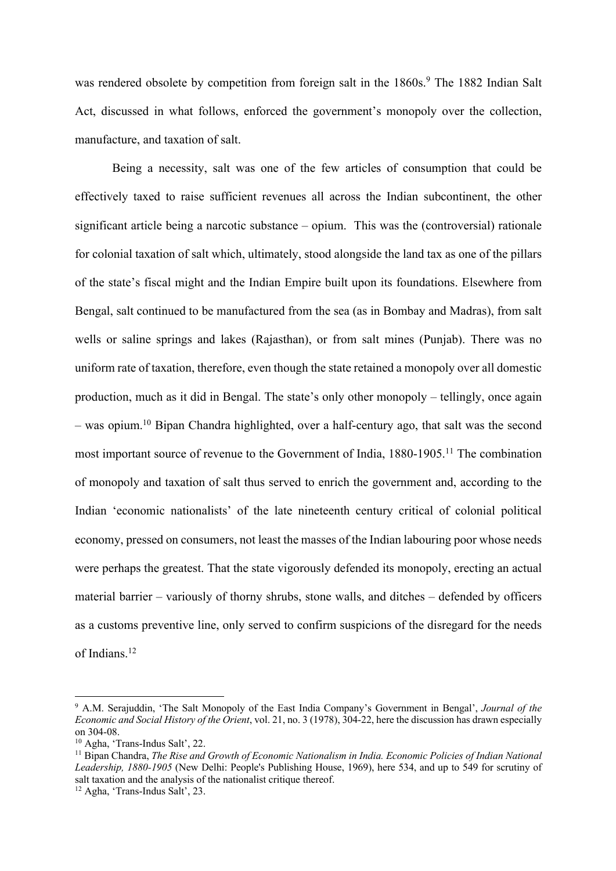was rendered obsolete by competition from foreign salt in the 1860s.<sup>9</sup> The 1882 Indian Salt Act, discussed in what follows, enforced the government's monopoly over the collection, manufacture, and taxation of salt.

Being a necessity, salt was one of the few articles of consumption that could be effectively taxed to raise sufficient revenues all across the Indian subcontinent, the other significant article being a narcotic substance – opium. This was the (controversial) rationale for colonial taxation of salt which, ultimately, stood alongside the land tax as one of the pillars of the state's fiscal might and the Indian Empire built upon its foundations. Elsewhere from Bengal, salt continued to be manufactured from the sea (as in Bombay and Madras), from salt wells or saline springs and lakes (Rajasthan), or from salt mines (Punjab). There was no uniform rate of taxation, therefore, even though the state retained a monopoly over all domestic production, much as it did in Bengal. The state's only other monopoly – tellingly, once again – was opium.10 Bipan Chandra highlighted, over a half-century ago, that salt was the second most important source of revenue to the Government of India, 1880-1905.11 The combination of monopoly and taxation of salt thus served to enrich the government and, according to the Indian 'economic nationalists' of the late nineteenth century critical of colonial political economy, pressed on consumers, not least the masses of the Indian labouring poor whose needs were perhaps the greatest. That the state vigorously defended its monopoly, erecting an actual material barrier – variously of thorny shrubs, stone walls, and ditches – defended by officers as a customs preventive line, only served to confirm suspicions of the disregard for the needs of Indians.12

<sup>9</sup> A.M. Serajuddin, 'The Salt Monopoly of the East India Company's Government in Bengal', *Journal of the Economic and Social History of the Orient*, vol. 21, no. 3 (1978), 304-22, here the discussion has drawn especially on 304-08.

<sup>10</sup> Agha, 'Trans-Indus Salt', 22.

<sup>11</sup> Bipan Chandra, *The Rise and Growth of Economic Nationalism in India. Economic Policies of Indian National Leadership, 1880-1905* (New Delhi: People's Publishing House, 1969), here 534, and up to 549 for scrutiny of salt taxation and the analysis of the nationalist critique thereof.

<sup>12</sup> Agha, 'Trans-Indus Salt', 23.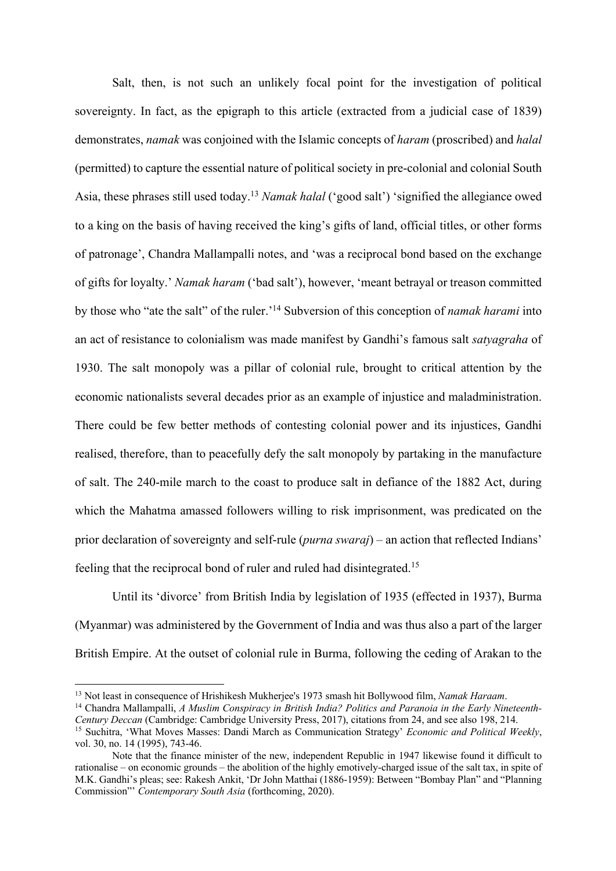Salt, then, is not such an unlikely focal point for the investigation of political sovereignty. In fact, as the epigraph to this article (extracted from a judicial case of 1839) demonstrates, *namak* was conjoined with the Islamic concepts of *haram* (proscribed) and *halal* (permitted) to capture the essential nature of political society in pre-colonial and colonial South Asia, these phrases still used today.13 *Namak halal* ('good salt') 'signified the allegiance owed to a king on the basis of having received the king's gifts of land, official titles, or other forms of patronage', Chandra Mallampalli notes, and 'was a reciprocal bond based on the exchange of gifts for loyalty.' *Namak haram* ('bad salt'), however, 'meant betrayal or treason committed by those who "ate the salt" of the ruler.'14 Subversion of this conception of *namak harami* into an act of resistance to colonialism was made manifest by Gandhi's famous salt *satyagraha* of 1930. The salt monopoly was a pillar of colonial rule, brought to critical attention by the economic nationalists several decades prior as an example of injustice and maladministration. There could be few better methods of contesting colonial power and its injustices, Gandhi realised, therefore, than to peacefully defy the salt monopoly by partaking in the manufacture of salt. The 240-mile march to the coast to produce salt in defiance of the 1882 Act, during which the Mahatma amassed followers willing to risk imprisonment, was predicated on the prior declaration of sovereignty and self-rule (*purna swaraj*) – an action that reflected Indians' feeling that the reciprocal bond of ruler and ruled had disintegrated.15

Until its 'divorce' from British India by legislation of 1935 (effected in 1937), Burma (Myanmar) was administered by the Government of India and was thus also a part of the larger British Empire. At the outset of colonial rule in Burma, following the ceding of Arakan to the

<sup>13</sup> Not least in consequence of Hrishikesh Mukherjee's 1973 smash hit Bollywood film, *Namak Haraam*.

<sup>14</sup> Chandra Mallampalli, *A Muslim Conspiracy in British India? Politics and Paranoia in the Early Nineteenth-Century Deccan* (Cambridge: Cambridge University Press, 2017), citations from 24, and see also 198, 214.

<sup>15</sup> Suchitra, 'What Moves Masses: Dandi March as Communication Strategy' *Economic and Political Weekly*, vol. 30, no. 14 (1995), 743-46.

Note that the finance minister of the new, independent Republic in 1947 likewise found it difficult to rationalise – on economic grounds – the abolition of the highly emotively-charged issue of the salt tax, in spite of M.K. Gandhi's pleas; see: Rakesh Ankit, 'Dr John Matthai (1886-1959): Between "Bombay Plan" and "Planning Commission"' *Contemporary South Asia* (forthcoming, 2020).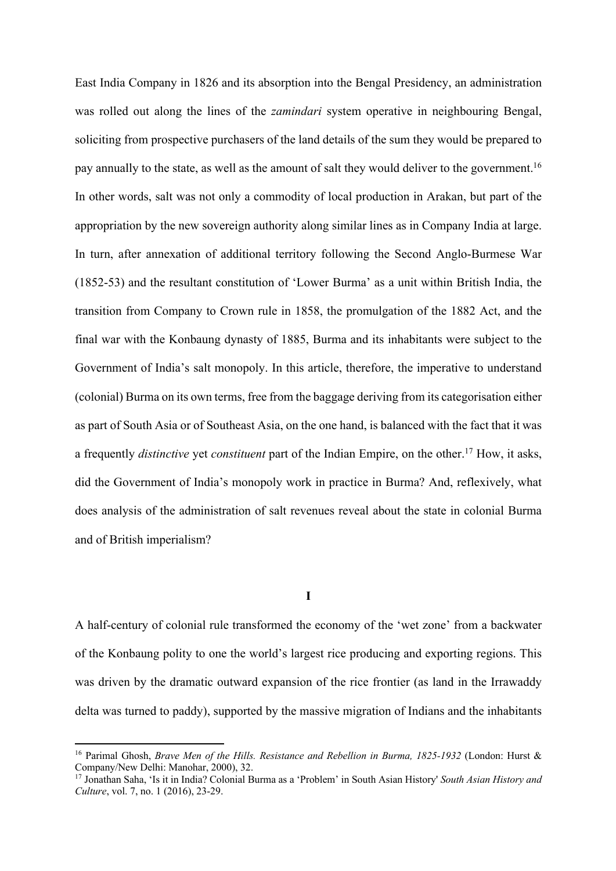East India Company in 1826 and its absorption into the Bengal Presidency, an administration was rolled out along the lines of the *zamindari* system operative in neighbouring Bengal, soliciting from prospective purchasers of the land details of the sum they would be prepared to pay annually to the state, as well as the amount of salt they would deliver to the government.<sup>16</sup> In other words, salt was not only a commodity of local production in Arakan, but part of the appropriation by the new sovereign authority along similar lines as in Company India at large. In turn, after annexation of additional territory following the Second Anglo-Burmese War (1852-53) and the resultant constitution of 'Lower Burma' as a unit within British India, the transition from Company to Crown rule in 1858, the promulgation of the 1882 Act, and the final war with the Konbaung dynasty of 1885, Burma and its inhabitants were subject to the Government of India's salt monopoly. In this article, therefore, the imperative to understand (colonial) Burma on its own terms, free from the baggage deriving from its categorisation either as part of South Asia or of Southeast Asia, on the one hand, is balanced with the fact that it was a frequently *distinctive* yet *constituent* part of the Indian Empire, on the other.17 How, it asks, did the Government of India's monopoly work in practice in Burma? And, reflexively, what does analysis of the administration of salt revenues reveal about the state in colonial Burma and of British imperialism?

**I**

A half-century of colonial rule transformed the economy of the 'wet zone' from a backwater of the Konbaung polity to one the world's largest rice producing and exporting regions. This was driven by the dramatic outward expansion of the rice frontier (as land in the Irrawaddy delta was turned to paddy), supported by the massive migration of Indians and the inhabitants

<sup>16</sup> Parimal Ghosh, *Brave Men of the Hills. Resistance and Rebellion in Burma, 1825-1932* (London: Hurst & Company/New Delhi: Manohar, 2000), 32.

<sup>17</sup> Jonathan Saha, 'Is it in India? Colonial Burma as a 'Problem' in South Asian History' *South Asian History and Culture*, vol. 7, no. 1 (2016), 23-29.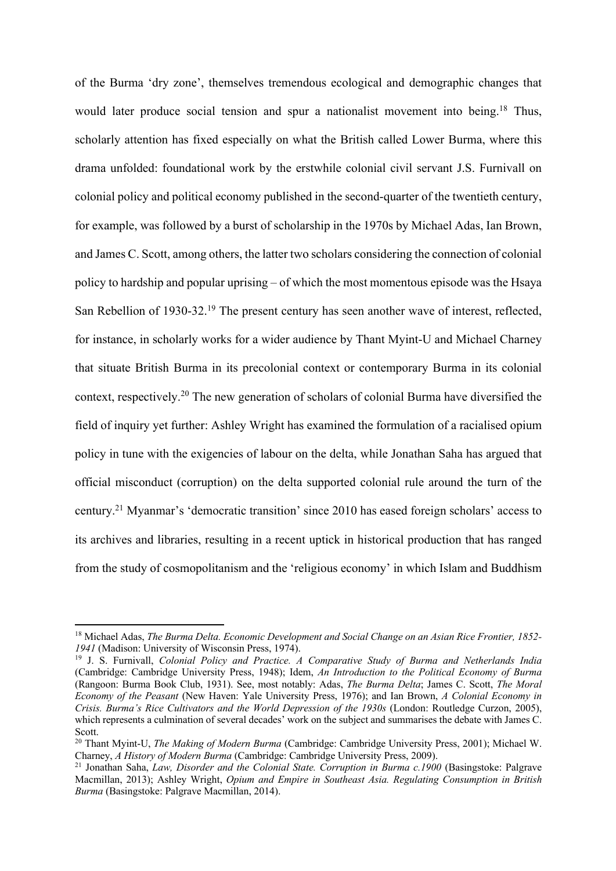of the Burma 'dry zone', themselves tremendous ecological and demographic changes that would later produce social tension and spur a nationalist movement into being.<sup>18</sup> Thus, scholarly attention has fixed especially on what the British called Lower Burma, where this drama unfolded: foundational work by the erstwhile colonial civil servant J.S. Furnivall on colonial policy and political economy published in the second-quarter of the twentieth century, for example, was followed by a burst of scholarship in the 1970s by Michael Adas, Ian Brown, and James C. Scott, among others, the latter two scholars considering the connection of colonial policy to hardship and popular uprising – of which the most momentous episode was the Hsaya San Rebellion of 1930-32.<sup>19</sup> The present century has seen another wave of interest, reflected, for instance, in scholarly works for a wider audience by Thant Myint-U and Michael Charney that situate British Burma in its precolonial context or contemporary Burma in its colonial context, respectively.20 The new generation of scholars of colonial Burma have diversified the field of inquiry yet further: Ashley Wright has examined the formulation of a racialised opium policy in tune with the exigencies of labour on the delta, while Jonathan Saha has argued that official misconduct (corruption) on the delta supported colonial rule around the turn of the century.21 Myanmar's 'democratic transition' since 2010 has eased foreign scholars' access to its archives and libraries, resulting in a recent uptick in historical production that has ranged from the study of cosmopolitanism and the 'religious economy' in which Islam and Buddhism

<sup>18</sup> Michael Adas, *The Burma Delta. Economic Development and Social Change on an Asian Rice Frontier, 1852- 1941* (Madison: University of Wisconsin Press, 1974).

<sup>19</sup> J. S. Furnivall, *Colonial Policy and Practice. A Comparative Study of Burma and Netherlands India* (Cambridge: Cambridge University Press, 1948); Idem, *An Introduction to the Political Economy of Burma* (Rangoon: Burma Book Club, 1931). See, most notably: Adas, *The Burma Delta*; James C. Scott, *The Moral Economy of the Peasant* (New Haven: Yale University Press, 1976); and Ian Brown, *A Colonial Economy in Crisis. Burma's Rice Cultivators and the World Depression of the 1930s* (London: Routledge Curzon, 2005), which represents a culmination of several decades' work on the subject and summarises the debate with James C. Scott.

<sup>20</sup> Thant Myint-U, *The Making of Modern Burma* (Cambridge: Cambridge University Press, 2001); Michael W. Charney, *A History of Modern Burma* (Cambridge: Cambridge University Press, 2009).

<sup>21</sup> Jonathan Saha, *Law, Disorder and the Colonial State. Corruption in Burma c.1900* (Basingstoke: Palgrave Macmillan, 2013); Ashley Wright, *Opium and Empire in Southeast Asia. Regulating Consumption in British Burma* (Basingstoke: Palgrave Macmillan, 2014).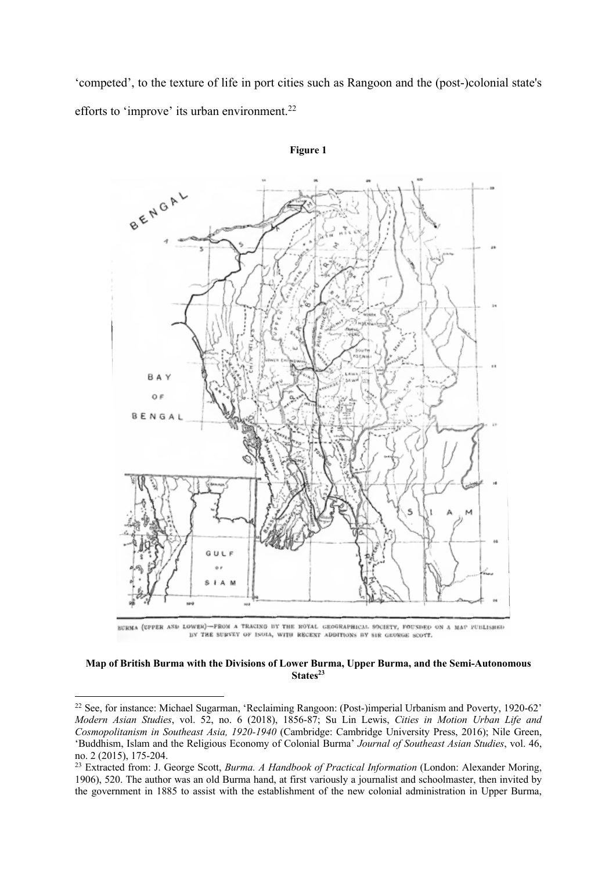'competed', to the texture of life in port cities such as Rangoon and the (post-)colonial state's efforts to 'improve' its urban environment.<sup>22</sup>



**Figure 1**

BURMA (UPPER AND LOWER)-FROM A TRACING BY THE ROYAL GEOGRAPHICAL SOCIETY, POUNDED ON A MAP PUBLISHED BY THE SURVEY OF INDIA, WITH RECENT ADDITIONS BY SIR GEORGE SCOTT

**Map of British Burma with the Divisions of Lower Burma, Upper Burma, and the Semi-Autonomous**  States<sup>23</sup>

<sup>22</sup> See, for instance: Michael Sugarman, 'Reclaiming Rangoon: (Post-)imperial Urbanism and Poverty, 1920-62' *Modern Asian Studies*, vol. 52, no. 6 (2018), 1856-87; Su Lin Lewis, *Cities in Motion Urban Life and Cosmopolitanism in Southeast Asia, 1920-1940* (Cambridge: Cambridge University Press, 2016); Nile Green, 'Buddhism, Islam and the Religious Economy of Colonial Burma' *Journal of Southeast Asian Studies*, vol. 46, no. 2 (2015), 175-204.

<sup>&</sup>lt;sup>23</sup> Extracted from: J. George Scott, *Burma. A Handbook of Practical Information* (London: Alexander Moring, 1906), 520. The author was an old Burma hand, at first variously a journalist and schoolmaster, then invited by the government in 1885 to assist with the establishment of the new colonial administration in Upper Burma,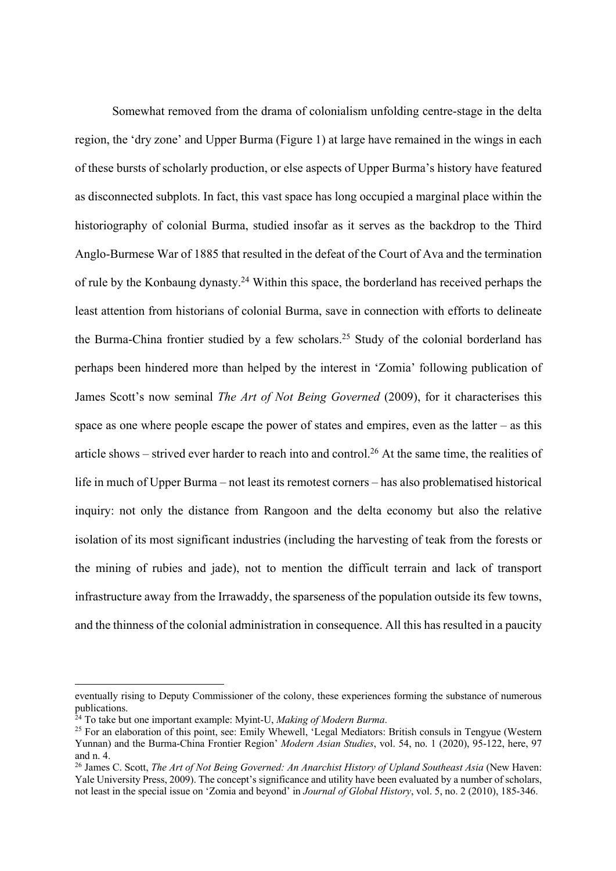Somewhat removed from the drama of colonialism unfolding centre-stage in the delta region, the 'dry zone' and Upper Burma (Figure 1) at large have remained in the wings in each of these bursts of scholarly production, or else aspects of Upper Burma's history have featured as disconnected subplots. In fact, this vast space has long occupied a marginal place within the historiography of colonial Burma, studied insofar as it serves as the backdrop to the Third Anglo-Burmese War of 1885 that resulted in the defeat of the Court of Ava and the termination of rule by the Konbaung dynasty.24 Within this space, the borderland has received perhaps the least attention from historians of colonial Burma, save in connection with efforts to delineate the Burma-China frontier studied by a few scholars.25 Study of the colonial borderland has perhaps been hindered more than helped by the interest in 'Zomia' following publication of James Scott's now seminal *The Art of Not Being Governed* (2009), for it characterises this space as one where people escape the power of states and empires, even as the latter – as this article shows – strived ever harder to reach into and control.<sup>26</sup> At the same time, the realities of life in much of Upper Burma – not least its remotest corners – has also problematised historical inquiry: not only the distance from Rangoon and the delta economy but also the relative isolation of its most significant industries (including the harvesting of teak from the forests or the mining of rubies and jade), not to mention the difficult terrain and lack of transport infrastructure away from the Irrawaddy, the sparseness of the population outside its few towns, and the thinness of the colonial administration in consequence. All this has resulted in a paucity

eventually rising to Deputy Commissioner of the colony, these experiences forming the substance of numerous publications.

<sup>24</sup> To take but one important example: Myint-U, *Making of Modern Burma*.

<sup>&</sup>lt;sup>25</sup> For an elaboration of this point, see: Emily Whewell, 'Legal Mediators: British consuls in Tengyue (Western Yunnan) and the Burma-China Frontier Region' *Modern Asian Studies*, vol. 54, no. 1 (2020), 95-122, here, 97 and n. 4.

<sup>26</sup> James C. Scott, *The Art of Not Being Governed: An Anarchist History of Upland Southeast Asia* (New Haven: Yale University Press, 2009). The concept's significance and utility have been evaluated by a number of scholars, not least in the special issue on 'Zomia and beyond' in *Journal of Global History*, vol. 5, no. 2 (2010), 185-346.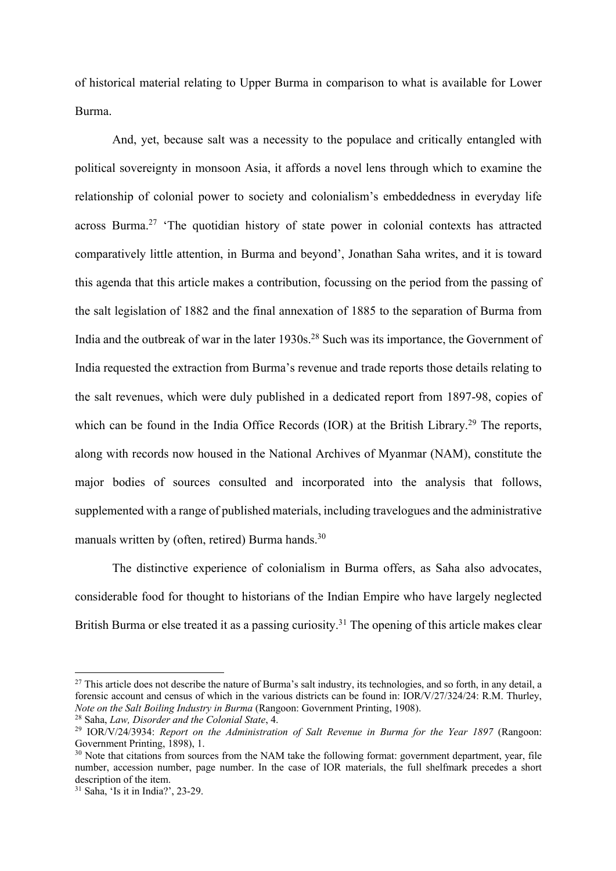of historical material relating to Upper Burma in comparison to what is available for Lower Burma.

And, yet, because salt was a necessity to the populace and critically entangled with political sovereignty in monsoon Asia, it affords a novel lens through which to examine the relationship of colonial power to society and colonialism's embeddedness in everyday life across Burma.<sup>27</sup> 'The quotidian history of state power in colonial contexts has attracted comparatively little attention, in Burma and beyond', Jonathan Saha writes, and it is toward this agenda that this article makes a contribution, focussing on the period from the passing of the salt legislation of 1882 and the final annexation of 1885 to the separation of Burma from India and the outbreak of war in the later 1930s.<sup>28</sup> Such was its importance, the Government of India requested the extraction from Burma's revenue and trade reports those details relating to the salt revenues, which were duly published in a dedicated report from 1897-98, copies of which can be found in the India Office Records (IOR) at the British Library.<sup>29</sup> The reports, along with records now housed in the National Archives of Myanmar (NAM), constitute the major bodies of sources consulted and incorporated into the analysis that follows, supplemented with a range of published materials, including travelogues and the administrative manuals written by (often, retired) Burma hands.<sup>30</sup>

The distinctive experience of colonialism in Burma offers, as Saha also advocates, considerable food for thought to historians of the Indian Empire who have largely neglected British Burma or else treated it as a passing curiosity.<sup>31</sup> The opening of this article makes clear

 $27$  This article does not describe the nature of Burma's salt industry, its technologies, and so forth, in any detail, a forensic account and census of which in the various districts can be found in: IOR/V/27/324/24: R.M. Thurley, *Note on the Salt Boiling Industry in Burma* (Rangoon: Government Printing, 1908).

<sup>28</sup> Saha, *Law, Disorder and the Colonial State*, 4.

<sup>29</sup> IOR/V/24/3934: *Report on the Administration of Salt Revenue in Burma for the Year 1897* (Rangoon: Government Printing, 1898), 1.

<sup>&</sup>lt;sup>30</sup> Note that citations from sources from the NAM take the following format: government department, year, file number, accession number, page number. In the case of IOR materials, the full shelfmark precedes a short description of the item.

<sup>31</sup> Saha, 'Is it in India?', 23-29.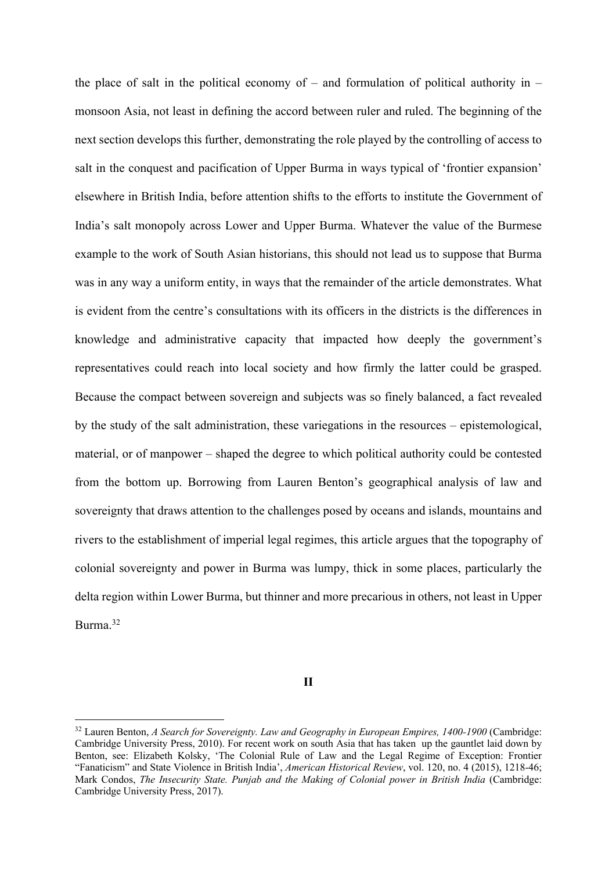the place of salt in the political economy of – and formulation of political authority in – monsoon Asia, not least in defining the accord between ruler and ruled. The beginning of the next section develops this further, demonstrating the role played by the controlling of access to salt in the conquest and pacification of Upper Burma in ways typical of 'frontier expansion' elsewhere in British India, before attention shifts to the efforts to institute the Government of India's salt monopoly across Lower and Upper Burma. Whatever the value of the Burmese example to the work of South Asian historians, this should not lead us to suppose that Burma was in any way a uniform entity, in ways that the remainder of the article demonstrates. What is evident from the centre's consultations with its officers in the districts is the differences in knowledge and administrative capacity that impacted how deeply the government's representatives could reach into local society and how firmly the latter could be grasped. Because the compact between sovereign and subjects was so finely balanced, a fact revealed by the study of the salt administration, these variegations in the resources – epistemological, material, or of manpower – shaped the degree to which political authority could be contested from the bottom up. Borrowing from Lauren Benton's geographical analysis of law and sovereignty that draws attention to the challenges posed by oceans and islands, mountains and rivers to the establishment of imperial legal regimes, this article argues that the topography of colonial sovereignty and power in Burma was lumpy, thick in some places, particularly the delta region within Lower Burma, but thinner and more precarious in others, not least in Upper Burma.32

**II**

<sup>32</sup> Lauren Benton, *A Search for Sovereignty. Law and Geography in European Empires, 1400-1900* (Cambridge: Cambridge University Press, 2010). For recent work on south Asia that has taken up the gauntlet laid down by Benton, see: Elizabeth Kolsky, 'The Colonial Rule of Law and the Legal Regime of Exception: Frontier "Fanaticism" and State Violence in British India', *American Historical Review*, vol. 120, no. 4 (2015), 1218-46; Mark Condos, *The Insecurity State. Punjab and the Making of Colonial power in British India* (Cambridge: Cambridge University Press, 2017).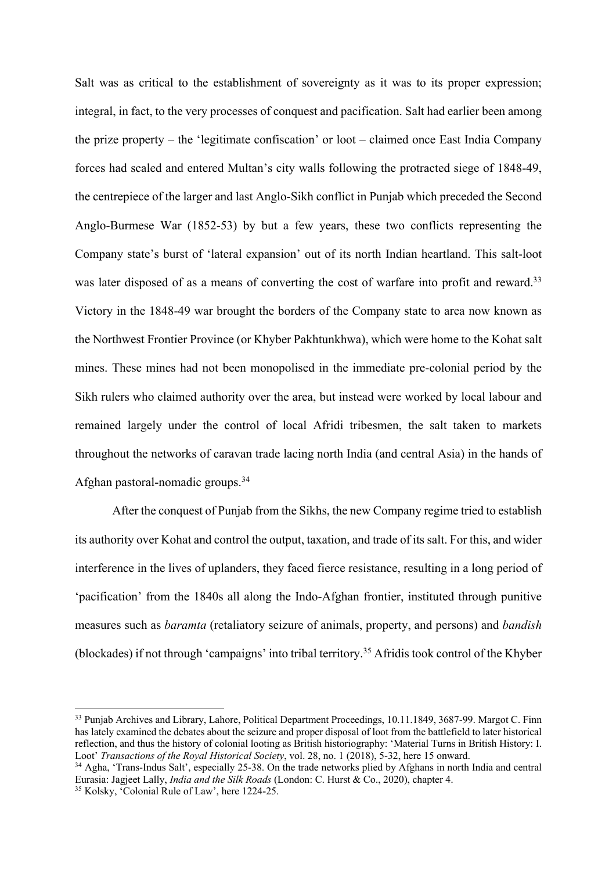Salt was as critical to the establishment of sovereignty as it was to its proper expression; integral, in fact, to the very processes of conquest and pacification. Salt had earlier been among the prize property – the 'legitimate confiscation' or loot – claimed once East India Company forces had scaled and entered Multan's city walls following the protracted siege of 1848-49, the centrepiece of the larger and last Anglo-Sikh conflict in Punjab which preceded the Second Anglo-Burmese War (1852-53) by but a few years, these two conflicts representing the Company state's burst of 'lateral expansion' out of its north Indian heartland. This salt-loot was later disposed of as a means of converting the cost of warfare into profit and reward.<sup>33</sup> Victory in the 1848-49 war brought the borders of the Company state to area now known as the Northwest Frontier Province (or Khyber Pakhtunkhwa), which were home to the Kohat salt mines. These mines had not been monopolised in the immediate pre-colonial period by the Sikh rulers who claimed authority over the area, but instead were worked by local labour and remained largely under the control of local Afridi tribesmen, the salt taken to markets throughout the networks of caravan trade lacing north India (and central Asia) in the hands of Afghan pastoral-nomadic groups.34

After the conquest of Punjab from the Sikhs, the new Company regime tried to establish its authority over Kohat and control the output, taxation, and trade of its salt. For this, and wider interference in the lives of uplanders, they faced fierce resistance, resulting in a long period of 'pacification' from the 1840s all along the Indo-Afghan frontier, instituted through punitive measures such as *baramta* (retaliatory seizure of animals, property, and persons) and *bandish* (blockades) if not through 'campaigns' into tribal territory. <sup>35</sup> Afridis took control of the Khyber

<sup>&</sup>lt;sup>33</sup> Punjab Archives and Library, Lahore, Political Department Proceedings, 10.11.1849, 3687-99. Margot C. Finn has lately examined the debates about the seizure and proper disposal of loot from the battlefield to later historical reflection, and thus the history of colonial looting as British historiography: 'Material Turns in British History: I. Loot' *Transactions of the Royal Historical Society*, vol. 28, no. 1 (2018), 5-32, here 15 onward.

<sup>34</sup> Agha, 'Trans-Indus Salt', especially 25-38. On the trade networks plied by Afghans in north India and central Eurasia: Jagjeet Lally, *India and the Silk Roads* (London: C. Hurst & Co., 2020), chapter 4.

<sup>35</sup> Kolsky, 'Colonial Rule of Law', here 1224-25.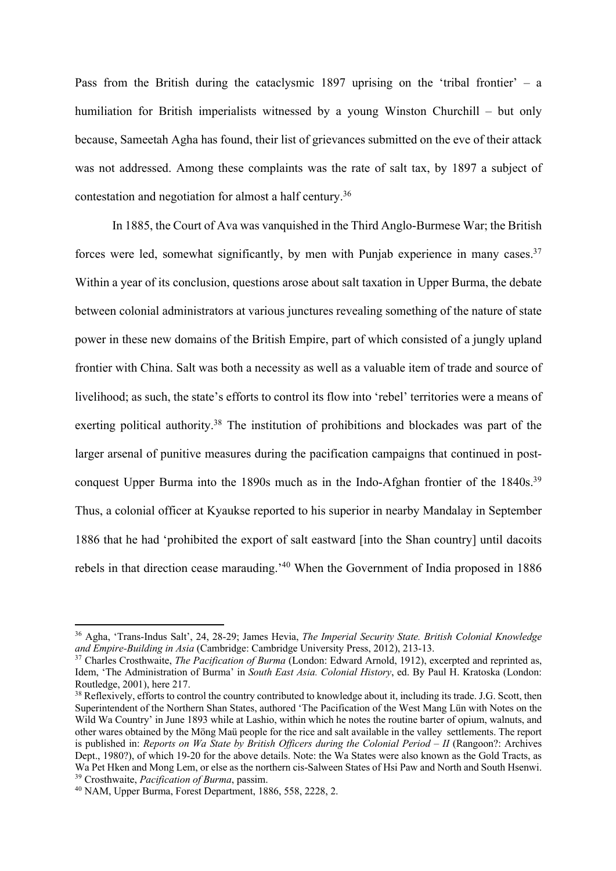Pass from the British during the cataclysmic 1897 uprising on the 'tribal frontier' – a humiliation for British imperialists witnessed by a young Winston Churchill – but only because, Sameetah Agha has found, their list of grievances submitted on the eve of their attack was not addressed. Among these complaints was the rate of salt tax, by 1897 a subject of contestation and negotiation for almost a half century.<sup>36</sup>

In 1885, the Court of Ava was vanquished in the Third Anglo-Burmese War; the British forces were led, somewhat significantly, by men with Punjab experience in many cases.<sup>37</sup> Within a year of its conclusion, questions arose about salt taxation in Upper Burma, the debate between colonial administrators at various junctures revealing something of the nature of state power in these new domains of the British Empire, part of which consisted of a jungly upland frontier with China. Salt was both a necessity as well as a valuable item of trade and source of livelihood; as such, the state's efforts to control its flow into 'rebel' territories were a means of exerting political authority.<sup>38</sup> The institution of prohibitions and blockades was part of the larger arsenal of punitive measures during the pacification campaigns that continued in postconquest Upper Burma into the 1890s much as in the Indo-Afghan frontier of the 1840s.<sup>39</sup> Thus, a colonial officer at Kyaukse reported to his superior in nearby Mandalay in September 1886 that he had 'prohibited the export of salt eastward [into the Shan country] until dacoits rebels in that direction cease marauding.'40 When the Government of India proposed in 1886

<sup>36</sup> Agha, 'Trans-Indus Salt', 24, 28-29; James Hevia, *The Imperial Security State. British Colonial Knowledge and Empire-Building in Asia* (Cambridge: Cambridge University Press, 2012), 213-13.

<sup>&</sup>lt;sup>37</sup> Charles Crosthwaite, *The Pacification of Burma* (London: Edward Arnold, 1912), excerpted and reprinted as, Idem, 'The Administration of Burma' in *South East Asia. Colonial History*, ed. By Paul H. Kratoska (London: Routledge, 2001), here 217.

<sup>&</sup>lt;sup>38</sup> Reflexively, efforts to control the country contributed to knowledge about it, including its trade. J.G. Scott, then Superintendent of the Northern Shan States, authored 'The Pacification of the West Mang Lün with Notes on the Wild Wa Country' in June 1893 while at Lashio, within which he notes the routine barter of opium, walnuts, and other wares obtained by the Möng Maü people for the rice and salt available in the valley settlements. The report is published in: *Reports on Wa State by British Officers during the Colonial Period – II* (Rangoon?: Archives Dept., 1980?), of which 19-20 for the above details. Note: the Wa States were also known as the Gold Tracts, as Wa Pet Hken and Mong Lem, or else as the northern cis-Salween States of Hsi Paw and North and South Hsenwi. <sup>39</sup> Crosthwaite, *Pacification of Burma*, passim.

<sup>40</sup> NAM, Upper Burma, Forest Department, 1886, 558, 2228, 2.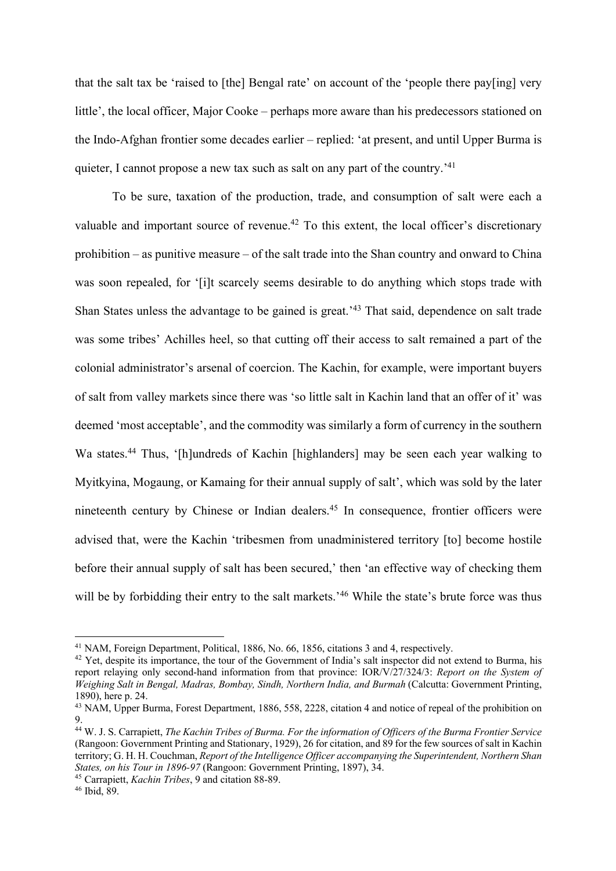that the salt tax be 'raised to [the] Bengal rate' on account of the 'people there pay[ing] very little', the local officer, Major Cooke – perhaps more aware than his predecessors stationed on the Indo-Afghan frontier some decades earlier – replied: 'at present, and until Upper Burma is quieter, I cannot propose a new tax such as salt on any part of the country.<sup>'41</sup>

To be sure, taxation of the production, trade, and consumption of salt were each a valuable and important source of revenue.<sup>42</sup> To this extent, the local officer's discretionary prohibition – as punitive measure – of the salt trade into the Shan country and onward to China was soon repealed, for '[i]t scarcely seems desirable to do anything which stops trade with Shan States unless the advantage to be gained is great.'43 That said, dependence on salt trade was some tribes' Achilles heel, so that cutting off their access to salt remained a part of the colonial administrator's arsenal of coercion. The Kachin, for example, were important buyers of salt from valley markets since there was 'so little salt in Kachin land that an offer of it' was deemed 'most acceptable', and the commodity was similarly a form of currency in the southern Wa states.<sup>44</sup> Thus, '[h]undreds of Kachin [highlanders] may be seen each year walking to Myitkyina, Mogaung, or Kamaing for their annual supply of salt', which was sold by the later nineteenth century by Chinese or Indian dealers.<sup>45</sup> In consequence, frontier officers were advised that, were the Kachin 'tribesmen from unadministered territory [to] become hostile before their annual supply of salt has been secured,' then 'an effective way of checking them will be by forbidding their entry to the salt markets.<sup>'46</sup> While the state's brute force was thus

<sup>41</sup> NAM, Foreign Department, Political, 1886, No. 66, 1856, citations 3 and 4, respectively.

<sup>&</sup>lt;sup>42</sup> Yet, despite its importance, the tour of the Government of India's salt inspector did not extend to Burma, his report relaying only second-hand information from that province: IOR/V/27/324/3: *Report on the System of Weighing Salt in Bengal, Madras, Bombay, Sindh, Northern India, and Burmah* (Calcutta: Government Printing, 1890), here p. 24.

<sup>&</sup>lt;sup>43</sup> NAM, Upper Burma, Forest Department, 1886, 558, 2228, citation 4 and notice of repeal of the prohibition on 9.

<sup>44</sup> W. J. S. Carrapiett, *The Kachin Tribes of Burma. For the information of Officers of the Burma Frontier Service* (Rangoon: Government Printing and Stationary, 1929), 26 for citation, and 89 for the few sources of salt in Kachin territory; G. H. H. Couchman, *Report of the Intelligence Officer accompanying the Superintendent, Northern Shan States, on his Tour in 1896-97* (Rangoon: Government Printing, 1897), 34.

<sup>45</sup> Carrapiett, *Kachin Tribes*, 9 and citation 88-89.

<sup>46</sup> Ibid, 89.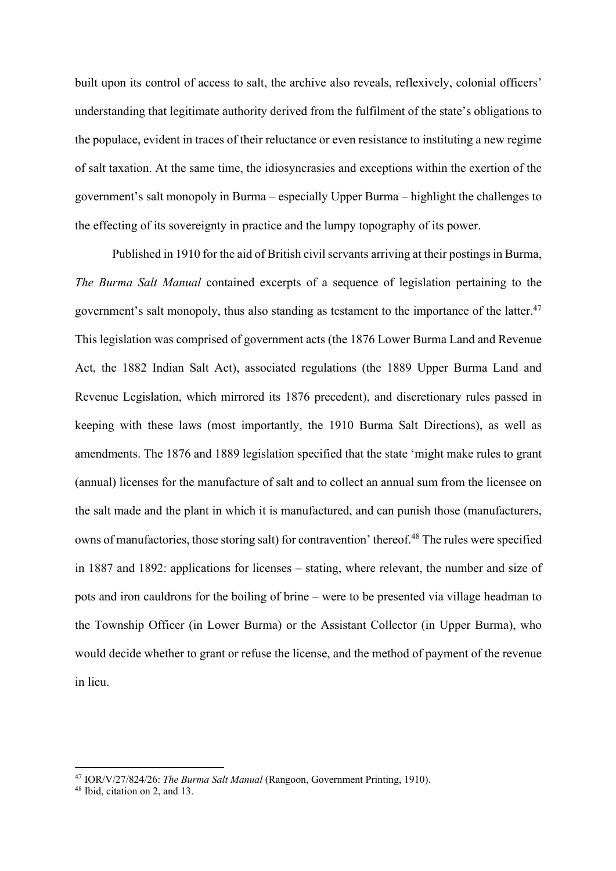built upon its control of access to salt, the archive also reveals, reflexively, colonial officers' understanding that legitimate authority derived from the fulfilment of the state's obligations to the populace, evident in traces of their reluctance or even resistance to instituting a new regime of salt taxation. At the same time, the idiosyncrasies and exceptions within the exertion of the government's salt monopoly in Burma – especially Upper Burma – highlight the challenges to the effecting of its sovereignty in practice and the lumpy topography of its power.

Published in 1910 for the aid of British civil servants arriving at their postings in Burma, *The Burma Salt Manual* contained excerpts of a sequence of legislation pertaining to the government's salt monopoly, thus also standing as testament to the importance of the latter.<sup>47</sup> This legislation was comprised of government acts (the 1876 Lower Burma Land and Revenue Act, the 1882 Indian Salt Act), associated regulations (the 1889 Upper Burma Land and Revenue Legislation, which mirrored its 1876 precedent), and discretionary rules passed in keeping with these laws (most importantly, the 1910 Burma Salt Directions), as well as amendments. The 1876 and 1889 legislation specified that the state 'might make rules to grant (annual) licenses for the manufacture of salt and to collect an annual sum from the licensee on the salt made and the plant in which it is manufactured, and can punish those (manufacturers, owns of manufactories, those storing salt) for contravention' thereof.48 The rules were specified in 1887 and 1892: applications for licenses – stating, where relevant, the number and size of pots and iron cauldrons for the boiling of brine – were to be presented via village headman to the Township Officer (in Lower Burma) or the Assistant Collector (in Upper Burma), who would decide whether to grant or refuse the license, and the method of payment of the revenue in lieu.

<sup>47</sup> IOR/V/27/824/26: *The Burma Salt Manual* (Rangoon, Government Printing, 1910).

<sup>48</sup> Ibid, citation on 2, and 13.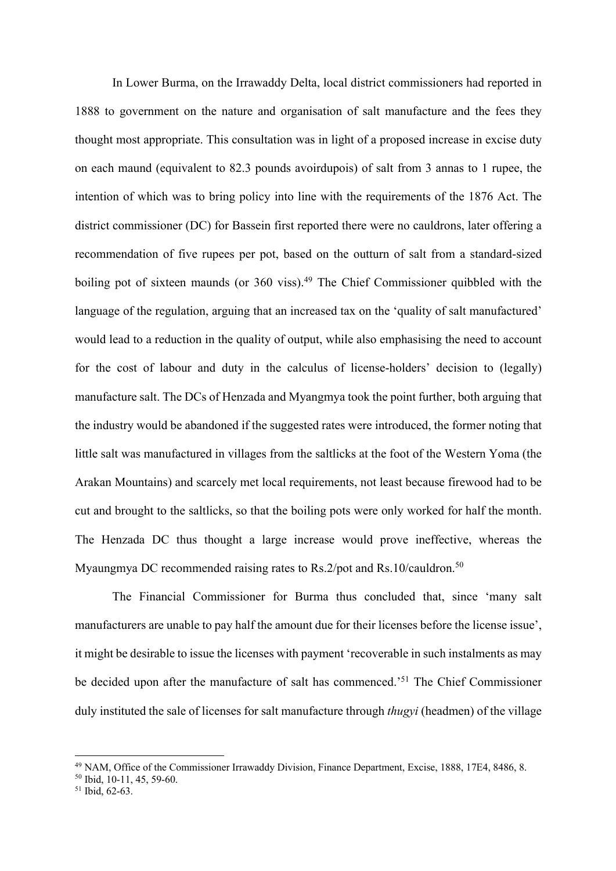In Lower Burma, on the Irrawaddy Delta, local district commissioners had reported in 1888 to government on the nature and organisation of salt manufacture and the fees they thought most appropriate. This consultation was in light of a proposed increase in excise duty on each maund (equivalent to 82.3 pounds avoirdupois) of salt from 3 annas to 1 rupee, the intention of which was to bring policy into line with the requirements of the 1876 Act. The district commissioner (DC) for Bassein first reported there were no cauldrons, later offering a recommendation of five rupees per pot, based on the outturn of salt from a standard-sized boiling pot of sixteen maunds (or 360 viss).<sup>49</sup> The Chief Commissioner quibbled with the language of the regulation, arguing that an increased tax on the 'quality of salt manufactured' would lead to a reduction in the quality of output, while also emphasising the need to account for the cost of labour and duty in the calculus of license-holders' decision to (legally) manufacture salt. The DCs of Henzada and Myangmya took the point further, both arguing that the industry would be abandoned if the suggested rates were introduced, the former noting that little salt was manufactured in villages from the saltlicks at the foot of the Western Yoma (the Arakan Mountains) and scarcely met local requirements, not least because firewood had to be cut and brought to the saltlicks, so that the boiling pots were only worked for half the month. The Henzada DC thus thought a large increase would prove ineffective, whereas the Myaungmya DC recommended raising rates to Rs. 2/pot and Rs. 10/cauldron.<sup>50</sup>

The Financial Commissioner for Burma thus concluded that, since 'many salt manufacturers are unable to pay half the amount due for their licenses before the license issue', it might be desirable to issue the licenses with payment 'recoverable in such instalments as may be decided upon after the manufacture of salt has commenced.'51 The Chief Commissioner duly instituted the sale of licenses for salt manufacture through *thugyi* (headmen) of the village

<sup>49</sup> NAM, Office of the Commissioner Irrawaddy Division, Finance Department, Excise, 1888, 17E4, 8486, 8.

<sup>50</sup> Ibid, 10-11, 45, 59-60.

<sup>51</sup> Ibid, 62-63.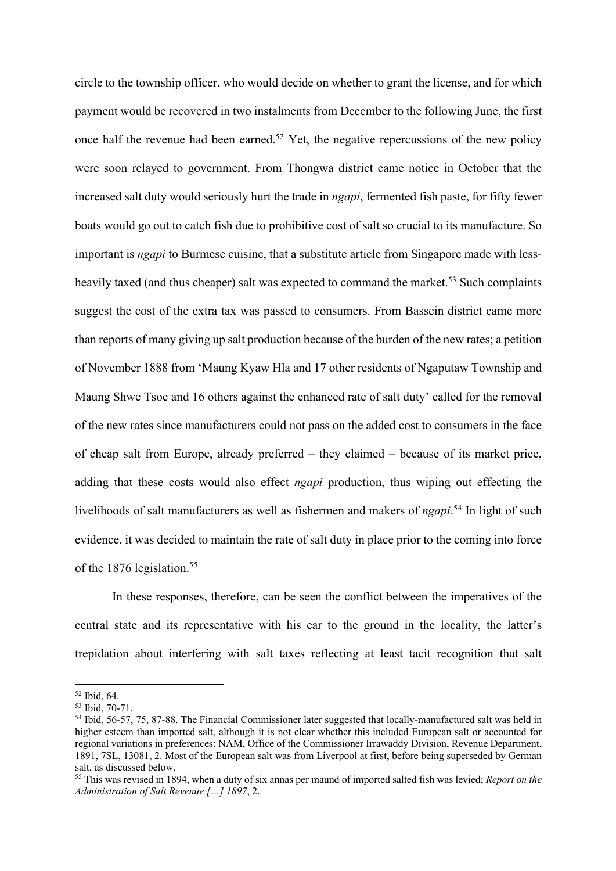circle to the township officer, who would decide on whether to grant the license, and for which payment would be recovered in two instalments from December to the following June, the first once half the revenue had been earned.<sup>52</sup> Yet, the negative repercussions of the new policy were soon relayed to government. From Thongwa district came notice in October that the increased salt duty would seriously hurt the trade in *ngapi*, fermented fish paste, for fifty fewer boats would go out to catch fish due to prohibitive cost of salt so crucial to its manufacture. So important is *ngapi* to Burmese cuisine, that a substitute article from Singapore made with lessheavily taxed (and thus cheaper) salt was expected to command the market.<sup>53</sup> Such complaints suggest the cost of the extra tax was passed to consumers. From Bassein district came more than reports of many giving up salt production because of the burden of the new rates; a petition of November 1888 from 'Maung Kyaw Hla and 17 other residents of Ngaputaw Township and Maung Shwe Tsoe and 16 others against the enhanced rate of salt duty' called for the removal of the new rates since manufacturers could not pass on the added cost to consumers in the face of cheap salt from Europe, already preferred – they claimed – because of its market price, adding that these costs would also effect *ngapi* production, thus wiping out effecting the livelihoods of salt manufacturers as well as fishermen and makers of *ngapi*. <sup>54</sup> In light of such evidence, it was decided to maintain the rate of salt duty in place prior to the coming into force of the 1876 legislation.<sup>55</sup>

In these responses, therefore, can be seen the conflict between the imperatives of the central state and its representative with his ear to the ground in the locality, the latter's trepidation about interfering with salt taxes reflecting at least tacit recognition that salt

<sup>52</sup> Ibid, 64.

<sup>53</sup> Ibid, 70-71.

<sup>54</sup> Ibid, 56-57, 75, 87-88. The Financial Commissioner later suggested that locally-manufactured salt was held in higher esteem than imported salt, although it is not clear whether this included European salt or accounted for regional variations in preferences: NAM, Office of the Commissioner Irrawaddy Division, Revenue Department, 1891, 7SL, 13081, 2. Most of the European salt was from Liverpool at first, before being superseded by German salt, as discussed below.

<sup>55</sup> This was revised in 1894, when a duty of six annas per maund of imported salted fish was levied; *Report on the Administration of Salt Revenue […] 1897*, 2.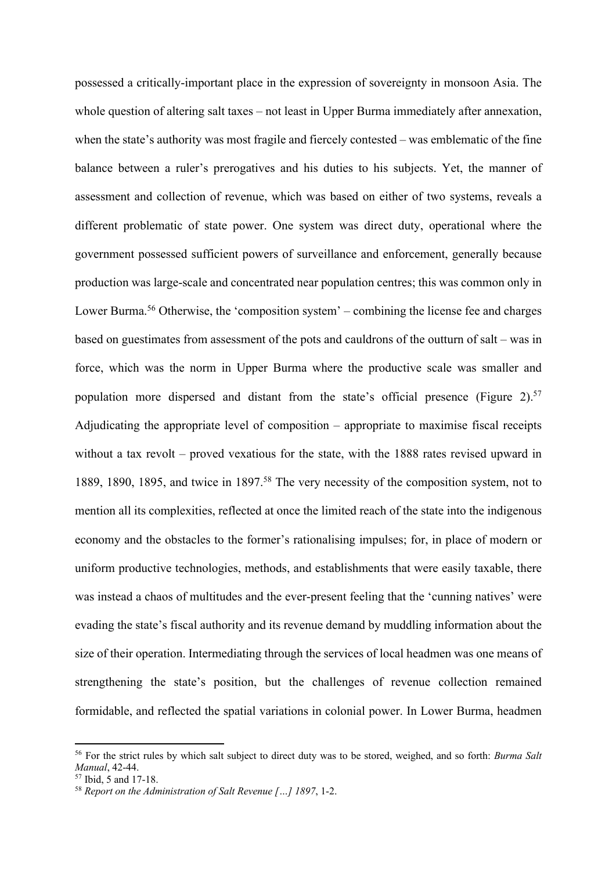possessed a critically-important place in the expression of sovereignty in monsoon Asia. The whole question of altering salt taxes – not least in Upper Burma immediately after annexation, when the state's authority was most fragile and fiercely contested – was emblematic of the fine balance between a ruler's prerogatives and his duties to his subjects. Yet, the manner of assessment and collection of revenue, which was based on either of two systems, reveals a different problematic of state power. One system was direct duty, operational where the government possessed sufficient powers of surveillance and enforcement, generally because production was large-scale and concentrated near population centres; this was common only in Lower Burma.<sup>56</sup> Otherwise, the 'composition system' – combining the license fee and charges based on guestimates from assessment of the pots and cauldrons of the outturn of salt – was in force, which was the norm in Upper Burma where the productive scale was smaller and population more dispersed and distant from the state's official presence (Figure 2).<sup>57</sup> Adjudicating the appropriate level of composition – appropriate to maximise fiscal receipts without a tax revolt – proved vexatious for the state, with the 1888 rates revised upward in 1889, 1890, 1895, and twice in 1897.<sup>58</sup> The very necessity of the composition system, not to mention all its complexities, reflected at once the limited reach of the state into the indigenous economy and the obstacles to the former's rationalising impulses; for, in place of modern or uniform productive technologies, methods, and establishments that were easily taxable, there was instead a chaos of multitudes and the ever-present feeling that the 'cunning natives' were evading the state's fiscal authority and its revenue demand by muddling information about the size of their operation. Intermediating through the services of local headmen was one means of strengthening the state's position, but the challenges of revenue collection remained formidable, and reflected the spatial variations in colonial power. In Lower Burma, headmen

<sup>56</sup> For the strict rules by which salt subject to direct duty was to be stored, weighed, and so forth: *Burma Salt Manual*, 42-44.

<sup>57</sup> Ibid, 5 and 17-18.

<sup>58</sup> *Report on the Administration of Salt Revenue […] 1897*, 1-2.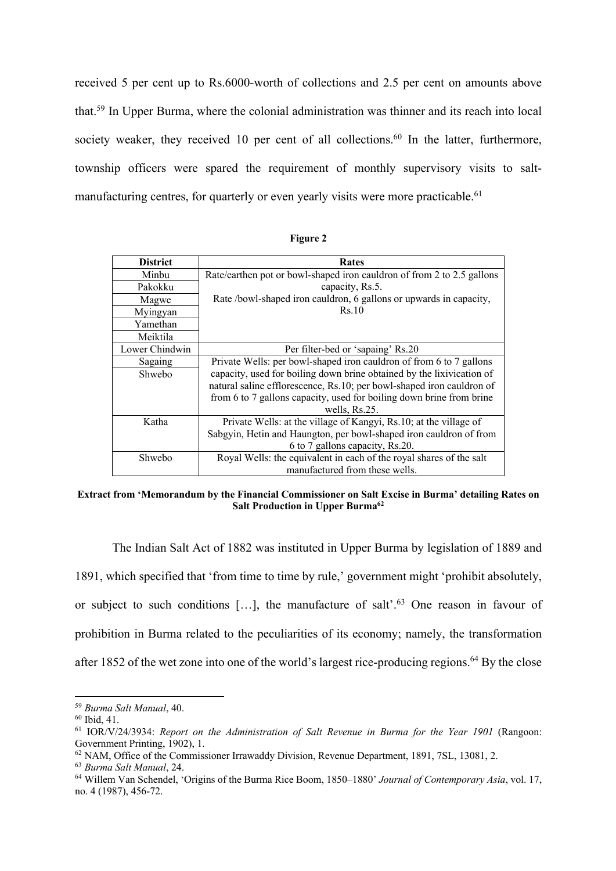received 5 per cent up to Rs.6000-worth of collections and 2.5 per cent on amounts above that.59 In Upper Burma, where the colonial administration was thinner and its reach into local society weaker, they received 10 per cent of all collections.<sup>60</sup> In the latter, furthermore, township officers were spared the requirement of monthly supervisory visits to saltmanufacturing centres, for quarterly or even yearly visits were more practicable.<sup>61</sup>

| <b>District</b> | <b>Rates</b>                                                           |
|-----------------|------------------------------------------------------------------------|
| Minbu           | Rate/earthen pot or bowl-shaped iron cauldron of from 2 to 2.5 gallons |
| Pakokku         | capacity, Rs.5.                                                        |
| Magwe           | Rate /bowl-shaped iron cauldron, 6 gallons or upwards in capacity,     |
| Myingyan        | Rs.10                                                                  |
| Yamethan        |                                                                        |
| Meiktila        |                                                                        |
| Lower Chindwin  | Per filter-bed or 'sapaing' Rs.20                                      |
| Sagaing         | Private Wells: per bowl-shaped iron cauldron of from 6 to 7 gallons    |
| Shwebo          | capacity, used for boiling down brine obtained by the lixivication of  |
|                 | natural saline efflorescence, Rs.10; per bowl-shaped iron cauldron of  |
|                 | from 6 to 7 gallons capacity, used for boiling down brine from brine   |
|                 | wells, Rs.25.                                                          |
| Katha           | Private Wells: at the village of Kangyi, Rs.10; at the village of      |
|                 | Sabgyin, Hetin and Haungton, per bowl-shaped iron cauldron of from     |
|                 | 6 to 7 gallons capacity, Rs.20.                                        |
| Shwebo          | Royal Wells: the equivalent in each of the royal shares of the salt    |
|                 | manufactured from these wells.                                         |

**Figure 2**

## **Extract from 'Memorandum by the Financial Commissioner on Salt Excise in Burma' detailing Rates on Salt Production in Upper Burma62**

The Indian Salt Act of 1882 was instituted in Upper Burma by legislation of 1889 and 1891, which specified that 'from time to time by rule,' government might 'prohibit absolutely, or subject to such conditions […], the manufacture of salt'.63 One reason in favour of prohibition in Burma related to the peculiarities of its economy; namely, the transformation after 1852 of the wet zone into one of the world's largest rice-producing regions.<sup>64</sup> By the close

<sup>59</sup> *Burma Salt Manual*, 40.

<sup>60</sup> Ibid, 41.

<sup>61</sup> IOR/V/24/3934: *Report on the Administration of Salt Revenue in Burma for the Year 1901* (Rangoon: Government Printing, 1902), 1.

<sup>&</sup>lt;sup>62</sup> NAM, Office of the Commissioner Irrawaddy Division, Revenue Department, 1891, 7SL, 13081, 2.

<sup>63</sup> *Burma Salt Manual*, 24.

<sup>64</sup> Willem Van Schendel, 'Origins of the Burma Rice Boom, 1850–1880' *Journal of Contemporary Asia*, vol. 17, no. 4 (1987), 456-72.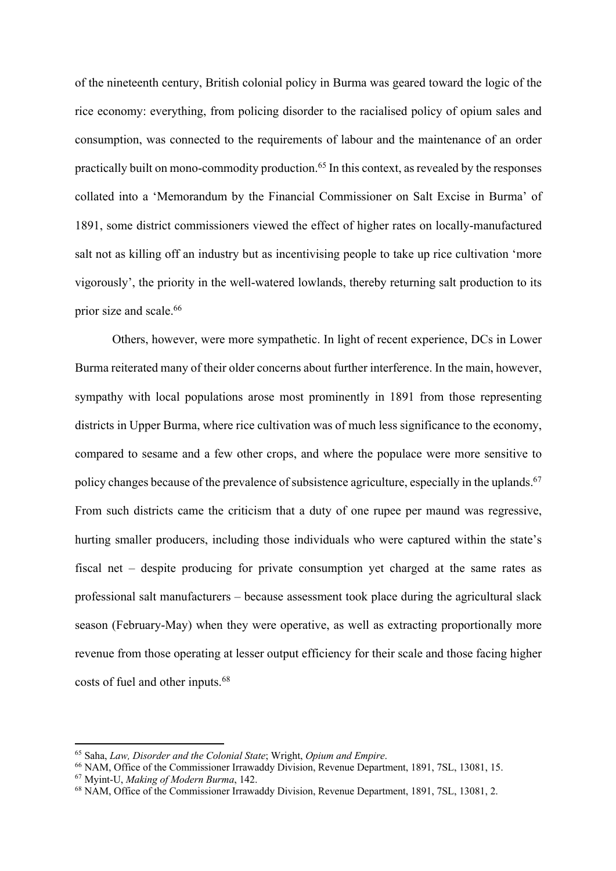of the nineteenth century, British colonial policy in Burma was geared toward the logic of the rice economy: everything, from policing disorder to the racialised policy of opium sales and consumption, was connected to the requirements of labour and the maintenance of an order practically built on mono-commodity production.65 In this context, as revealed by the responses collated into a 'Memorandum by the Financial Commissioner on Salt Excise in Burma' of 1891, some district commissioners viewed the effect of higher rates on locally-manufactured salt not as killing off an industry but as incentivising people to take up rice cultivation 'more vigorously', the priority in the well-watered lowlands, thereby returning salt production to its prior size and scale.<sup>66</sup>

Others, however, were more sympathetic. In light of recent experience, DCs in Lower Burma reiterated many of their older concerns about further interference. In the main, however, sympathy with local populations arose most prominently in 1891 from those representing districts in Upper Burma, where rice cultivation was of much less significance to the economy, compared to sesame and a few other crops, and where the populace were more sensitive to policy changes because of the prevalence of subsistence agriculture, especially in the uplands.<sup>67</sup> From such districts came the criticism that a duty of one rupee per maund was regressive, hurting smaller producers, including those individuals who were captured within the state's fiscal net – despite producing for private consumption yet charged at the same rates as professional salt manufacturers – because assessment took place during the agricultural slack season (February-May) when they were operative, as well as extracting proportionally more revenue from those operating at lesser output efficiency for their scale and those facing higher costs of fuel and other inputs.68

<sup>65</sup> Saha, *Law, Disorder and the Colonial State*; Wright, *Opium and Empire*.

<sup>66</sup> NAM, Office of the Commissioner Irrawaddy Division, Revenue Department, 1891, 7SL, 13081, 15.

<sup>67</sup> Myint-U, *Making of Modern Burma*, 142.

<sup>68</sup> NAM, Office of the Commissioner Irrawaddy Division, Revenue Department, 1891, 7SL, 13081, 2.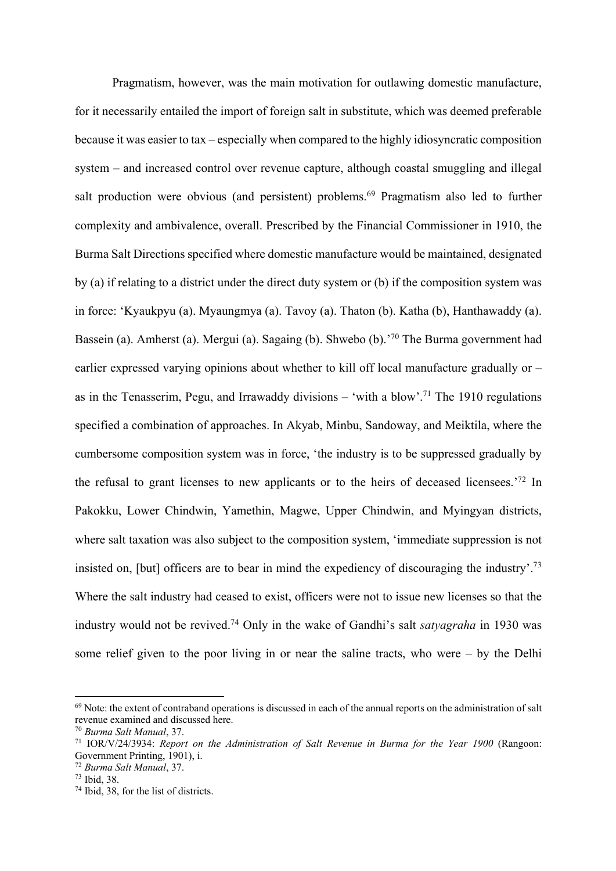Pragmatism, however, was the main motivation for outlawing domestic manufacture, for it necessarily entailed the import of foreign salt in substitute, which was deemed preferable because it was easier to tax – especially when compared to the highly idiosyncratic composition system – and increased control over revenue capture, although coastal smuggling and illegal salt production were obvious (and persistent) problems.<sup>69</sup> Pragmatism also led to further complexity and ambivalence, overall. Prescribed by the Financial Commissioner in 1910, the Burma Salt Directions specified where domestic manufacture would be maintained, designated by (a) if relating to a district under the direct duty system or (b) if the composition system was in force: 'Kyaukpyu (a). Myaungmya (a). Tavoy (a). Thaton (b). Katha (b), Hanthawaddy (a). Bassein (a). Amherst (a). Mergui (a). Sagaing (b). Shwebo (b).'70 The Burma government had earlier expressed varying opinions about whether to kill off local manufacture gradually or – as in the Tenasserim, Pegu, and Irrawaddy divisions – 'with a blow'.<sup>71</sup> The 1910 regulations specified a combination of approaches. In Akyab, Minbu, Sandoway, and Meiktila, where the cumbersome composition system was in force, 'the industry is to be suppressed gradually by the refusal to grant licenses to new applicants or to the heirs of deceased licensees.'72 In Pakokku, Lower Chindwin, Yamethin, Magwe, Upper Chindwin, and Myingyan districts, where salt taxation was also subject to the composition system, 'immediate suppression is not insisted on, [but] officers are to bear in mind the expediency of discouraging the industry'.73 Where the salt industry had ceased to exist, officers were not to issue new licenses so that the industry would not be revived.74 Only in the wake of Gandhi's salt *satyagraha* in 1930 was some relief given to the poor living in or near the saline tracts, who were – by the Delhi

 $<sup>69</sup>$  Note: the extent of contraband operations is discussed in each of the annual reports on the administration of salt</sup> revenue examined and discussed here.

<sup>70</sup> *Burma Salt Manual*, 37.

<sup>71</sup> IOR/V/24/3934: *Report on the Administration of Salt Revenue in Burma for the Year 1900* (Rangoon: Government Printing, 1901), i.

<sup>72</sup> *Burma Salt Manual*, 37.

<sup>73</sup> Ibid, 38.

<sup>74</sup> Ibid, 38, for the list of districts.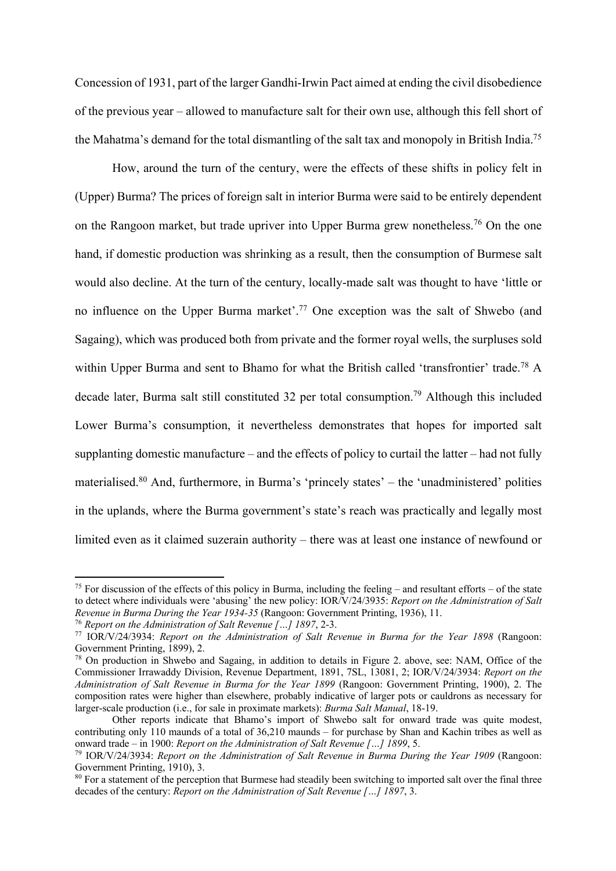Concession of 1931, part of the larger Gandhi-Irwin Pact aimed at ending the civil disobedience of the previous year – allowed to manufacture salt for their own use, although this fell short of the Mahatma's demand for the total dismantling of the salt tax and monopoly in British India.75

How, around the turn of the century, were the effects of these shifts in policy felt in (Upper) Burma? The prices of foreign salt in interior Burma were said to be entirely dependent on the Rangoon market, but trade upriver into Upper Burma grew nonetheless.<sup>76</sup> On the one hand, if domestic production was shrinking as a result, then the consumption of Burmese salt would also decline. At the turn of the century, locally-made salt was thought to have 'little or no influence on the Upper Burma market'.77 One exception was the salt of Shwebo (and Sagaing), which was produced both from private and the former royal wells, the surpluses sold within Upper Burma and sent to Bhamo for what the British called 'transfrontier' trade.<sup>78</sup> A decade later, Burma salt still constituted 32 per total consumption.79 Although this included Lower Burma's consumption, it nevertheless demonstrates that hopes for imported salt supplanting domestic manufacture – and the effects of policy to curtail the latter – had not fully materialised.<sup>80</sup> And, furthermore, in Burma's 'princely states' – the 'unadministered' polities in the uplands, where the Burma government's state's reach was practically and legally most limited even as it claimed suzerain authority – there was at least one instance of newfound or

<sup>&</sup>lt;sup>75</sup> For discussion of the effects of this policy in Burma, including the feeling – and resultant efforts – of the state to detect where individuals were 'abusing' the new policy: IOR/V/24/3935: *Report on the Administration of Salt Revenue in Burma During the Year 1934-35* (Rangoon: Government Printing, 1936), 11.

<sup>76</sup> *Report on the Administration of Salt Revenue […] 1897*, 2-3.

<sup>77</sup> IOR/V/24/3934: *Report on the Administration of Salt Revenue in Burma for the Year 1898* (Rangoon: Government Printing, 1899), 2.

<sup>78</sup> On production in Shwebo and Sagaing, in addition to details in Figure 2. above, see: NAM, Office of the Commissioner Irrawaddy Division, Revenue Department, 1891, 7SL, 13081, 2; IOR/V/24/3934: *Report on the Administration of Salt Revenue in Burma for the Year 1899* (Rangoon: Government Printing, 1900), 2. The composition rates were higher than elsewhere, probably indicative of larger pots or cauldrons as necessary for larger-scale production (i.e., for sale in proximate markets): *Burma Salt Manual*, 18-19.

Other reports indicate that Bhamo's import of Shwebo salt for onward trade was quite modest, contributing only 110 maunds of a total of 36,210 maunds – for purchase by Shan and Kachin tribes as well as onward trade – in 1900: *Report on the Administration of Salt Revenue […] 1899*, 5.

<sup>79</sup> IOR/V/24/3934: *Report on the Administration of Salt Revenue in Burma During the Year 1909* (Rangoon: Government Printing, 1910), 3.

<sup>&</sup>lt;sup>80</sup> For a statement of the perception that Burmese had steadily been switching to imported salt over the final three decades of the century: *Report on the Administration of Salt Revenue […] 1897*, 3.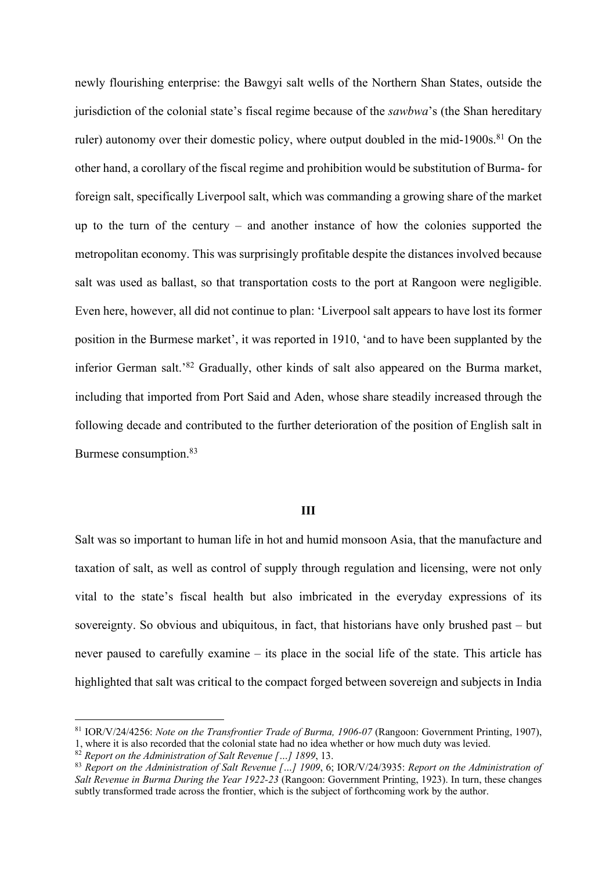newly flourishing enterprise: the Bawgyi salt wells of the Northern Shan States, outside the jurisdiction of the colonial state's fiscal regime because of the *sawbwa*'s (the Shan hereditary ruler) autonomy over their domestic policy, where output doubled in the mid-1900s.<sup>81</sup> On the other hand, a corollary of the fiscal regime and prohibition would be substitution of Burma- for foreign salt, specifically Liverpool salt, which was commanding a growing share of the market up to the turn of the century – and another instance of how the colonies supported the metropolitan economy. This was surprisingly profitable despite the distances involved because salt was used as ballast, so that transportation costs to the port at Rangoon were negligible. Even here, however, all did not continue to plan: 'Liverpool salt appears to have lost its former position in the Burmese market', it was reported in 1910, 'and to have been supplanted by the inferior German salt.'82 Gradually, other kinds of salt also appeared on the Burma market, including that imported from Port Said and Aden, whose share steadily increased through the following decade and contributed to the further deterioration of the position of English salt in Burmese consumption.83

## **III**

Salt was so important to human life in hot and humid monsoon Asia, that the manufacture and taxation of salt, as well as control of supply through regulation and licensing, were not only vital to the state's fiscal health but also imbricated in the everyday expressions of its sovereignty. So obvious and ubiquitous, in fact, that historians have only brushed past – but never paused to carefully examine – its place in the social life of the state. This article has highlighted that salt was critical to the compact forged between sovereign and subjects in India

<sup>81</sup> IOR/V/24/4256: *Note on the Transfrontier Trade of Burma, 1906-07* (Rangoon: Government Printing, 1907),

<sup>1,</sup> where it is also recorded that the colonial state had no idea whether or how much duty was levied.

<sup>82</sup> *Report on the Administration of Salt Revenue […] 1899*, 13.

<sup>83</sup> *Report on the Administration of Salt Revenue […] 1909*, 6; IOR/V/24/3935: *Report on the Administration of Salt Revenue in Burma During the Year 1922-23* (Rangoon: Government Printing, 1923). In turn, these changes subtly transformed trade across the frontier, which is the subject of forthcoming work by the author.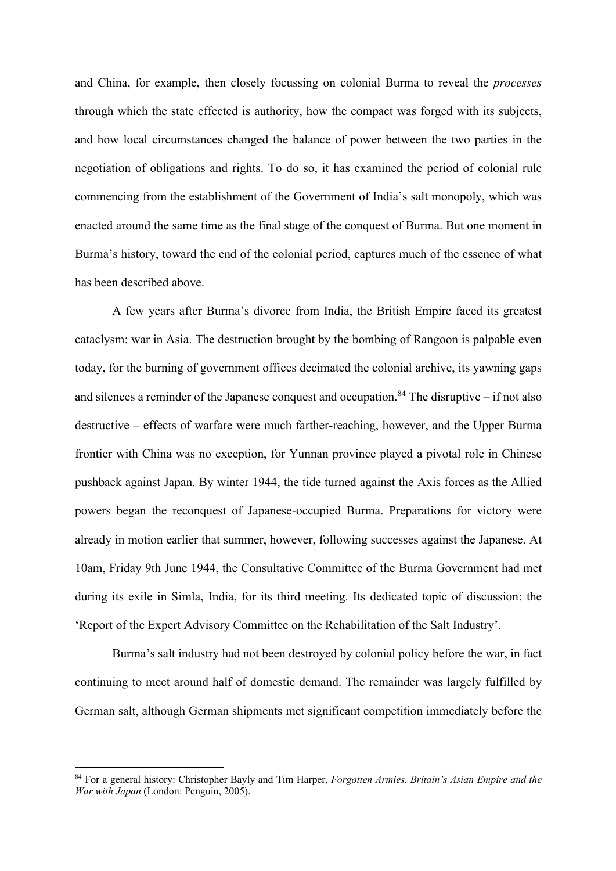and China, for example, then closely focussing on colonial Burma to reveal the *processes* through which the state effected is authority, how the compact was forged with its subjects, and how local circumstances changed the balance of power between the two parties in the negotiation of obligations and rights. To do so, it has examined the period of colonial rule commencing from the establishment of the Government of India's salt monopoly, which was enacted around the same time as the final stage of the conquest of Burma. But one moment in Burma's history, toward the end of the colonial period, captures much of the essence of what has been described above.

A few years after Burma's divorce from India, the British Empire faced its greatest cataclysm: war in Asia. The destruction brought by the bombing of Rangoon is palpable even today, for the burning of government offices decimated the colonial archive, its yawning gaps and silences a reminder of the Japanese conquest and occupation.<sup>84</sup> The disruptive – if not also destructive – effects of warfare were much farther-reaching, however, and the Upper Burma frontier with China was no exception, for Yunnan province played a pivotal role in Chinese pushback against Japan. By winter 1944, the tide turned against the Axis forces as the Allied powers began the reconquest of Japanese-occupied Burma. Preparations for victory were already in motion earlier that summer, however, following successes against the Japanese. At 10am, Friday 9th June 1944, the Consultative Committee of the Burma Government had met during its exile in Simla, India, for its third meeting. Its dedicated topic of discussion: the 'Report of the Expert Advisory Committee on the Rehabilitation of the Salt Industry'.

Burma's salt industry had not been destroyed by colonial policy before the war, in fact continuing to meet around half of domestic demand. The remainder was largely fulfilled by German salt, although German shipments met significant competition immediately before the

<sup>84</sup> For a general history: Christopher Bayly and Tim Harper, *Forgotten Armies. Britain's Asian Empire and the War with Japan* (London: Penguin, 2005).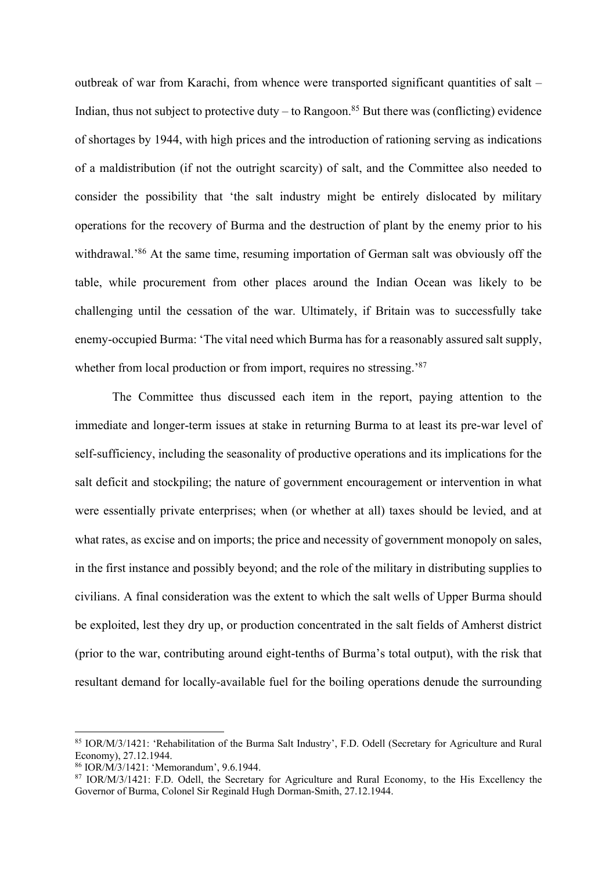outbreak of war from Karachi, from whence were transported significant quantities of salt – Indian, thus not subject to protective duty – to Rangoon.<sup>85</sup> But there was (conflicting) evidence of shortages by 1944, with high prices and the introduction of rationing serving as indications of a maldistribution (if not the outright scarcity) of salt, and the Committee also needed to consider the possibility that 'the salt industry might be entirely dislocated by military operations for the recovery of Burma and the destruction of plant by the enemy prior to his withdrawal.'86 At the same time, resuming importation of German salt was obviously off the table, while procurement from other places around the Indian Ocean was likely to be challenging until the cessation of the war. Ultimately, if Britain was to successfully take enemy-occupied Burma: 'The vital need which Burma has for a reasonably assured salt supply, whether from local production or from import, requires no stressing.<sup>87</sup>

The Committee thus discussed each item in the report, paying attention to the immediate and longer-term issues at stake in returning Burma to at least its pre-war level of self-sufficiency, including the seasonality of productive operations and its implications for the salt deficit and stockpiling; the nature of government encouragement or intervention in what were essentially private enterprises; when (or whether at all) taxes should be levied, and at what rates, as excise and on imports; the price and necessity of government monopoly on sales, in the first instance and possibly beyond; and the role of the military in distributing supplies to civilians. A final consideration was the extent to which the salt wells of Upper Burma should be exploited, lest they dry up, or production concentrated in the salt fields of Amherst district (prior to the war, contributing around eight-tenths of Burma's total output), with the risk that resultant demand for locally-available fuel for the boiling operations denude the surrounding

<sup>85</sup> IOR/M/3/1421: 'Rehabilitation of the Burma Salt Industry', F.D. Odell (Secretary for Agriculture and Rural Economy), 27.12.1944.

<sup>86</sup> IOR/M/3/1421: 'Memorandum', 9.6.1944.

<sup>87</sup> IOR/M/3/1421: F.D. Odell, the Secretary for Agriculture and Rural Economy, to the His Excellency the Governor of Burma, Colonel Sir Reginald Hugh Dorman-Smith, 27.12.1944.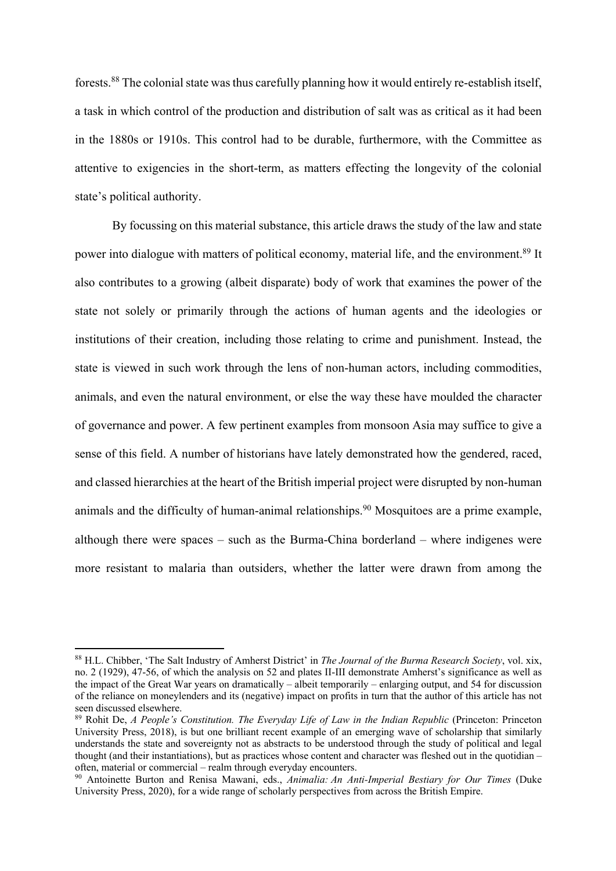forests.88 The colonial state was thus carefully planning how it would entirely re-establish itself, a task in which control of the production and distribution of salt was as critical as it had been in the 1880s or 1910s. This control had to be durable, furthermore, with the Committee as attentive to exigencies in the short-term, as matters effecting the longevity of the colonial state's political authority.

By focussing on this material substance, this article draws the study of the law and state power into dialogue with matters of political economy, material life, and the environment.<sup>89</sup> It also contributes to a growing (albeit disparate) body of work that examines the power of the state not solely or primarily through the actions of human agents and the ideologies or institutions of their creation, including those relating to crime and punishment. Instead, the state is viewed in such work through the lens of non-human actors, including commodities, animals, and even the natural environment, or else the way these have moulded the character of governance and power. A few pertinent examples from monsoon Asia may suffice to give a sense of this field. A number of historians have lately demonstrated how the gendered, raced, and classed hierarchies at the heart of the British imperial project were disrupted by non-human animals and the difficulty of human-animal relationships.<sup>90</sup> Mosquitoes are a prime example, although there were spaces – such as the Burma-China borderland – where indigenes were more resistant to malaria than outsiders, whether the latter were drawn from among the

<sup>88</sup> H.L. Chibber, 'The Salt Industry of Amherst District' in *The Journal of the Burma Research Society*, vol. xix, no. 2 (1929), 47-56, of which the analysis on 52 and plates II-III demonstrate Amherst's significance as well as the impact of the Great War years on dramatically – albeit temporarily – enlarging output, and 54 for discussion of the reliance on moneylenders and its (negative) impact on profits in turn that the author of this article has not seen discussed elsewhere.

<sup>89</sup> Rohit De, *A People's Constitution. The Everyday Life of Law in the Indian Republic* (Princeton: Princeton University Press, 2018), is but one brilliant recent example of an emerging wave of scholarship that similarly understands the state and sovereignty not as abstracts to be understood through the study of political and legal thought (and their instantiations), but as practices whose content and character was fleshed out in the quotidian – often, material or commercial – realm through everyday encounters.

<sup>90</sup> Antoinette Burton and Renisa Mawani, eds., *Animalia: An Anti-Imperial Bestiary for Our Times* (Duke University Press, 2020), for a wide range of scholarly perspectives from across the British Empire.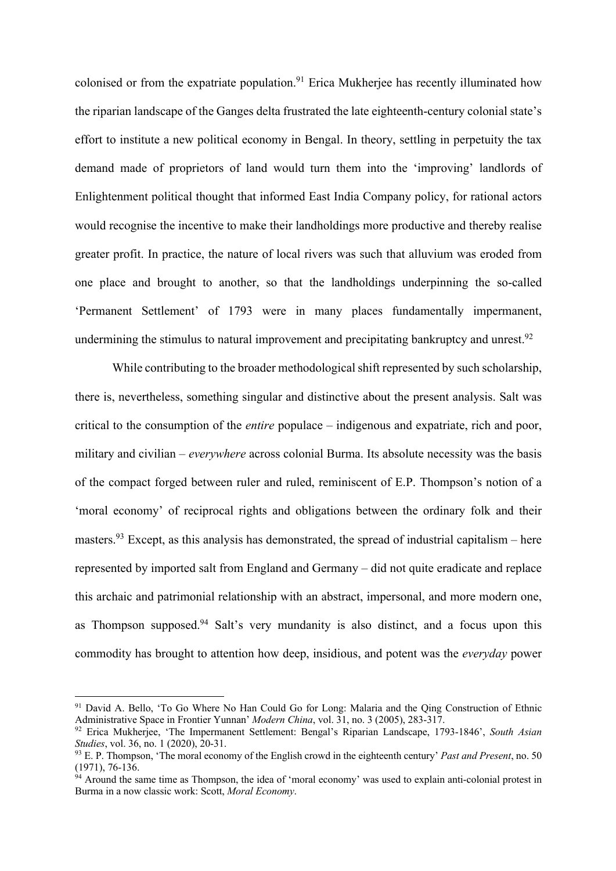colonised or from the expatriate population.91 Erica Mukherjee has recently illuminated how the riparian landscape of the Ganges delta frustrated the late eighteenth-century colonial state's effort to institute a new political economy in Bengal. In theory, settling in perpetuity the tax demand made of proprietors of land would turn them into the 'improving' landlords of Enlightenment political thought that informed East India Company policy, for rational actors would recognise the incentive to make their landholdings more productive and thereby realise greater profit. In practice, the nature of local rivers was such that alluvium was eroded from one place and brought to another, so that the landholdings underpinning the so-called 'Permanent Settlement' of 1793 were in many places fundamentally impermanent, undermining the stimulus to natural improvement and precipitating bankruptcy and unrest.<sup>92</sup>

While contributing to the broader methodological shift represented by such scholarship, there is, nevertheless, something singular and distinctive about the present analysis. Salt was critical to the consumption of the *entire* populace – indigenous and expatriate, rich and poor, military and civilian – *everywhere* across colonial Burma. Its absolute necessity was the basis of the compact forged between ruler and ruled, reminiscent of E.P. Thompson's notion of a 'moral economy' of reciprocal rights and obligations between the ordinary folk and their masters.<sup>93</sup> Except, as this analysis has demonstrated, the spread of industrial capitalism – here represented by imported salt from England and Germany – did not quite eradicate and replace this archaic and patrimonial relationship with an abstract, impersonal, and more modern one, as Thompson supposed.94 Salt's very mundanity is also distinct, and a focus upon this commodity has brought to attention how deep, insidious, and potent was the *everyday* power

<sup>91</sup> David A. Bello, 'To Go Where No Han Could Go for Long: Malaria and the Qing Construction of Ethnic Administrative Space in Frontier Yunnan' *Modern China*, vol. 31, no. 3 (2005), 283-317.

<sup>92</sup> Erica Mukherjee, 'The Impermanent Settlement: Bengal's Riparian Landscape, 1793-1846', *South Asian Studies*, vol. 36, no. 1 (2020), 20-31.

<sup>93</sup> E. P. Thompson, 'The moral economy of the English crowd in the eighteenth century' *Past and Present*, no. 50 (1971), 76-136.

<sup>&</sup>lt;sup>94</sup> Around the same time as Thompson, the idea of 'moral economy' was used to explain anti-colonial protest in Burma in a now classic work: Scott, *Moral Economy*.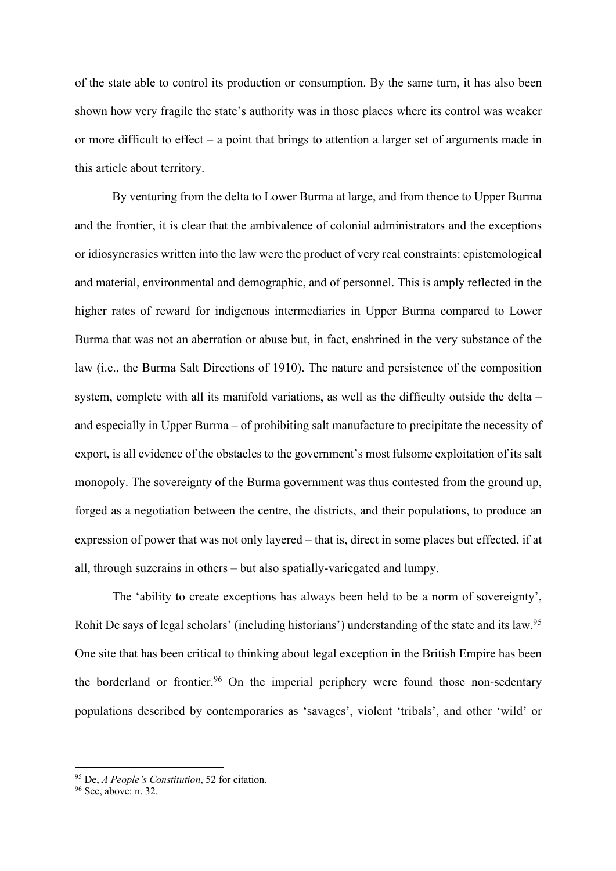of the state able to control its production or consumption. By the same turn, it has also been shown how very fragile the state's authority was in those places where its control was weaker or more difficult to effect – a point that brings to attention a larger set of arguments made in this article about territory.

By venturing from the delta to Lower Burma at large, and from thence to Upper Burma and the frontier, it is clear that the ambivalence of colonial administrators and the exceptions or idiosyncrasies written into the law were the product of very real constraints: epistemological and material, environmental and demographic, and of personnel. This is amply reflected in the higher rates of reward for indigenous intermediaries in Upper Burma compared to Lower Burma that was not an aberration or abuse but, in fact, enshrined in the very substance of the law (i.e., the Burma Salt Directions of 1910). The nature and persistence of the composition system, complete with all its manifold variations, as well as the difficulty outside the delta – and especially in Upper Burma – of prohibiting salt manufacture to precipitate the necessity of export, is all evidence of the obstacles to the government's most fulsome exploitation of its salt monopoly. The sovereignty of the Burma government was thus contested from the ground up, forged as a negotiation between the centre, the districts, and their populations, to produce an expression of power that was not only layered – that is, direct in some places but effected, if at all, through suzerains in others – but also spatially-variegated and lumpy.

The 'ability to create exceptions has always been held to be a norm of sovereignty', Rohit De says of legal scholars' (including historians') understanding of the state and its law.95 One site that has been critical to thinking about legal exception in the British Empire has been the borderland or frontier.<sup>96</sup> On the imperial periphery were found those non-sedentary populations described by contemporaries as 'savages', violent 'tribals', and other 'wild' or

<sup>95</sup> De, *A People's Constitution*, 52 for citation.

<sup>96</sup> See, above: n. 32.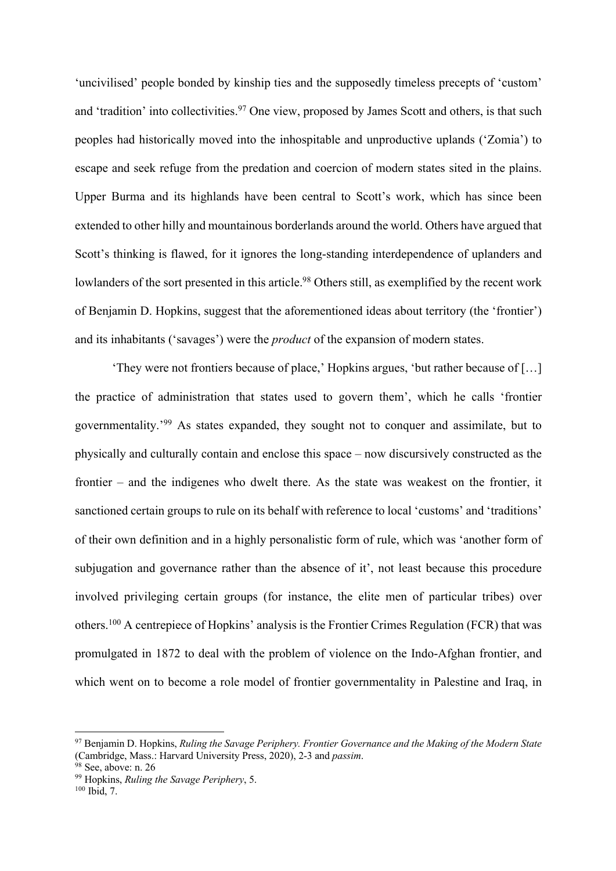'uncivilised' people bonded by kinship ties and the supposedly timeless precepts of 'custom' and 'tradition' into collectivities.<sup>97</sup> One view, proposed by James Scott and others, is that such peoples had historically moved into the inhospitable and unproductive uplands ('Zomia') to escape and seek refuge from the predation and coercion of modern states sited in the plains. Upper Burma and its highlands have been central to Scott's work, which has since been extended to other hilly and mountainous borderlands around the world. Others have argued that Scott's thinking is flawed, for it ignores the long-standing interdependence of uplanders and lowlanders of the sort presented in this article.<sup>98</sup> Others still, as exemplified by the recent work of Benjamin D. Hopkins, suggest that the aforementioned ideas about territory (the 'frontier') and its inhabitants ('savages') were the *product* of the expansion of modern states.

'They were not frontiers because of place,' Hopkins argues, 'but rather because of […] the practice of administration that states used to govern them', which he calls 'frontier governmentality.'99 As states expanded, they sought not to conquer and assimilate, but to physically and culturally contain and enclose this space – now discursively constructed as the frontier – and the indigenes who dwelt there. As the state was weakest on the frontier, it sanctioned certain groups to rule on its behalf with reference to local 'customs' and 'traditions' of their own definition and in a highly personalistic form of rule, which was 'another form of subjugation and governance rather than the absence of it', not least because this procedure involved privileging certain groups (for instance, the elite men of particular tribes) over others.100 A centrepiece of Hopkins' analysis is the Frontier Crimes Regulation (FCR) that was promulgated in 1872 to deal with the problem of violence on the Indo-Afghan frontier, and which went on to become a role model of frontier governmentality in Palestine and Iraq, in

<sup>97</sup> Benjamin D. Hopkins, *Ruling the Savage Periphery. Frontier Governance and the Making of the Modern State* (Cambridge, Mass.: Harvard University Press, 2020), 2-3 and *passim*.

 $98$  See, above: n. 26

<sup>99</sup> Hopkins, *Ruling the Savage Periphery*, 5.

 $100$  Ibid, 7.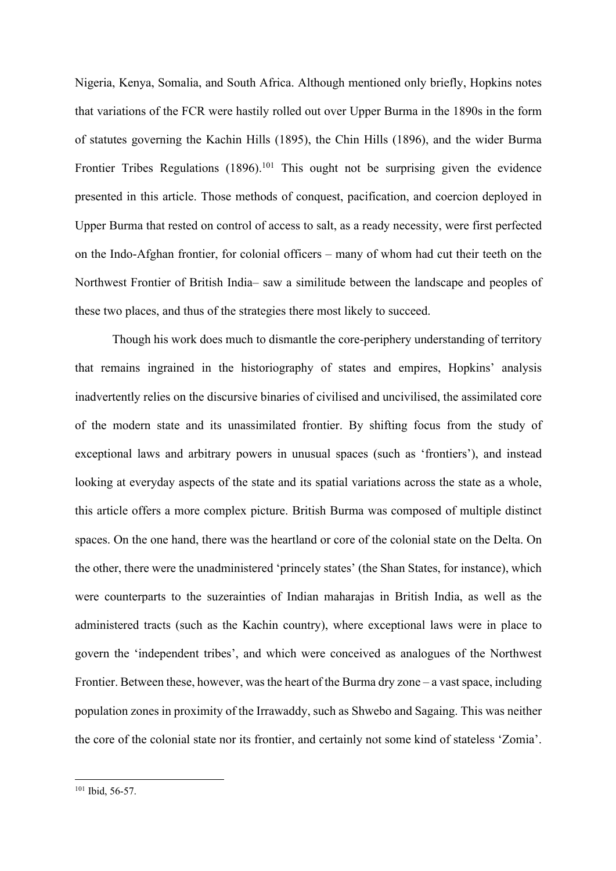Nigeria, Kenya, Somalia, and South Africa. Although mentioned only briefly, Hopkins notes that variations of the FCR were hastily rolled out over Upper Burma in the 1890s in the form of statutes governing the Kachin Hills (1895), the Chin Hills (1896), and the wider Burma Frontier Tribes Regulations (1896).<sup>101</sup> This ought not be surprising given the evidence presented in this article. Those methods of conquest, pacification, and coercion deployed in Upper Burma that rested on control of access to salt, as a ready necessity, were first perfected on the Indo-Afghan frontier, for colonial officers – many of whom had cut their teeth on the Northwest Frontier of British India– saw a similitude between the landscape and peoples of these two places, and thus of the strategies there most likely to succeed.

Though his work does much to dismantle the core-periphery understanding of territory that remains ingrained in the historiography of states and empires, Hopkins' analysis inadvertently relies on the discursive binaries of civilised and uncivilised, the assimilated core of the modern state and its unassimilated frontier. By shifting focus from the study of exceptional laws and arbitrary powers in unusual spaces (such as 'frontiers'), and instead looking at everyday aspects of the state and its spatial variations across the state as a whole, this article offers a more complex picture. British Burma was composed of multiple distinct spaces. On the one hand, there was the heartland or core of the colonial state on the Delta. On the other, there were the unadministered 'princely states' (the Shan States, for instance), which were counterparts to the suzerainties of Indian maharajas in British India, as well as the administered tracts (such as the Kachin country), where exceptional laws were in place to govern the 'independent tribes', and which were conceived as analogues of the Northwest Frontier. Between these, however, was the heart of the Burma dry zone – a vast space, including population zones in proximity of the Irrawaddy, such as Shwebo and Sagaing. This was neither the core of the colonial state nor its frontier, and certainly not some kind of stateless 'Zomia'.

<sup>101</sup> Ibid, 56-57.